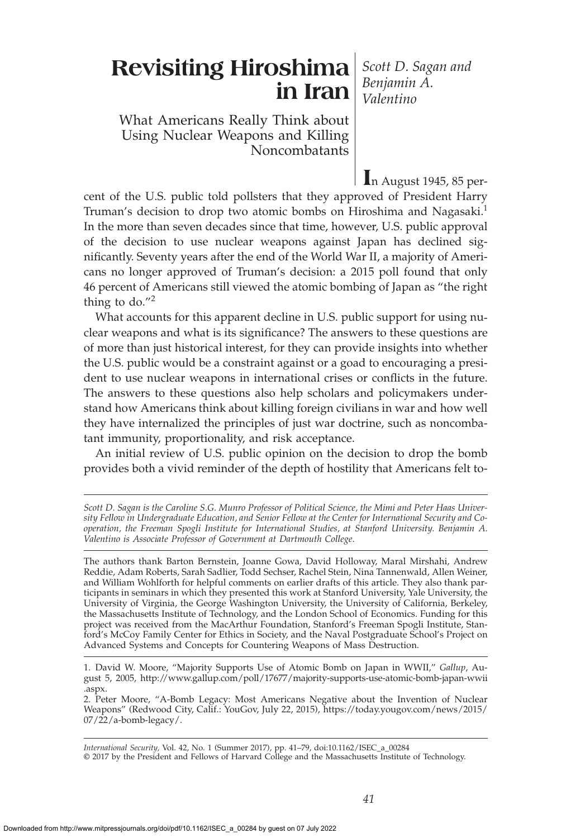# **Revisiting Hiroshima** *Scott D. Sagan and* **in Iran**

*Benjamin A. Valentino*

What Americans Really Think about Using Nuclear Weapons and Killing Noncombatants

**I**n August 1945, 85 percent of the U.S. public told pollsters that they approved of President Harry Truman's decision to drop two atomic bombs on Hiroshima and Nagasaki.<sup>1</sup> In the more than seven decades since that time, however, U.S. public approval of the decision to use nuclear weapons against Japan has declined significantly. Seventy years after the end of the World War II, a majority of Americans no longer approved of Truman's decision: a 2015 poll found that only 46 percent of Americans still viewed the atomic bombing of Japan as "the right thing to do. $^{\prime\prime2}$ 

What accounts for this apparent decline in U.S. public support for using nuclear weapons and what is its significance? The answers to these questions are of more than just historical interest, for they can provide insights into whether the U.S. public would be a constraint against or a goad to encouraging a president to use nuclear weapons in international crises or conflicts in the future. The answers to these questions also help scholars and policymakers understand how Americans think about killing foreign civilians in war and how well they have internalized the principles of just war doctrine, such as noncombatant immunity, proportionality, and risk acceptance.

An initial review of U.S. public opinion on the decision to drop the bomb provides both a vivid reminder of the depth of hostility that Americans felt to-

The authors thank Barton Bernstein, Joanne Gowa, David Holloway, Maral Mirshahi, Andrew Reddie, Adam Roberts, Sarah Sadlier, Todd Sechser, Rachel Stein, Nina Tannenwald, Allen Weiner, and William Wohlforth for helpful comments on earlier drafts of this article. They also thank participants in seminars in which they presented this work at Stanford University, Yale University, the University of Virginia, the George Washington University, the University of California, Berkeley, the Massachusetts Institute of Technology, and the London School of Economics. Funding for this project was received from the MacArthur Foundation, Stanford's Freeman Spogli Institute, Stanford's McCoy Family Center for Ethics in Society, and the Naval Postgraduate School's Project on Advanced Systems and Concepts for Countering Weapons of Mass Destruction.

1. David W. Moore, "Majority Supports Use of Atomic Bomb on Japan in WWII," *Gallup*, August 5, 2005, http://www.gallup.com/poll/17677/majority-supports-use-atomic-bomb-japan-wwii .aspx.

2. Peter Moore, "A-Bomb Legacy: Most Americans Negative about the Invention of Nuclear Weapons" (Redwood City, Calif.: YouGov, July 22, 2015), https://today.yougov.com/news/2015/ 07/22/a-bomb-legacy/.

*International Security,* Vol. 42, No. 1 (Summer 2017), pp. 41–79, doi:10.1162/ISEC\_a\_00284 © 2017 by the President and Fellows of Harvard College and the Massachusetts Institute of Technology.

*Scott D. Sagan is the Caroline S.G. Munro Professor of Political Science, the Mimi and Peter Haas University Fellow in Undergraduate Education, and Senior Fellow at the Center for International Security and Cooperation, the Freeman Spogli Institute for International Studies, at Stanford University. Benjamin A. Valentino is Associate Professor of Government at Dartmouth College*.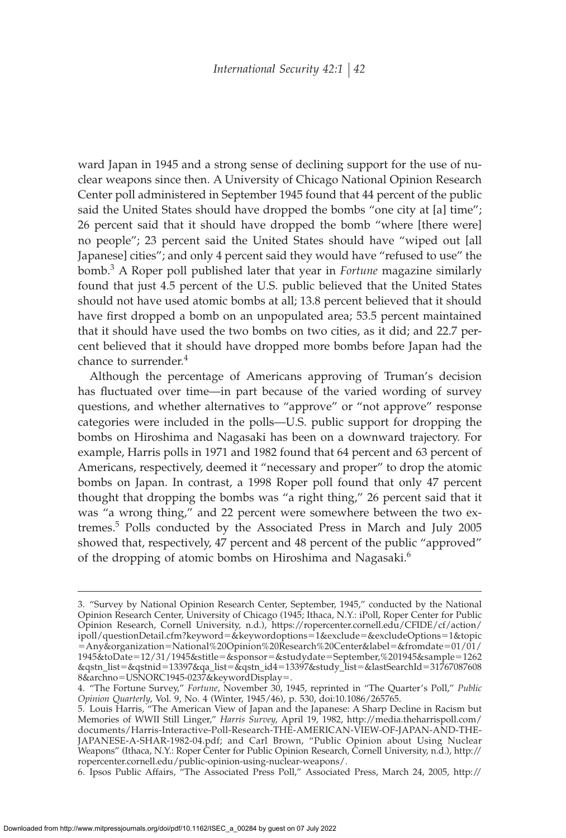ward Japan in 1945 and a strong sense of declining support for the use of nuclear weapons since then. A University of Chicago National Opinion Research Center poll administered in September 1945 found that 44 percent of the public said the United States should have dropped the bombs "one city at [a] time"; 26 percent said that it should have dropped the bomb "where [there were] no people"; 23 percent said the United States should have "wiped out [all Japanese] cities"; and only 4 percent said they would have "refused to use" the bomb.<sup>3</sup> A Roper poll published later that year in *Fortune* magazine similarly found that just 4.5 percent of the U.S. public believed that the United States should not have used atomic bombs at all; 13.8 percent believed that it should have first dropped a bomb on an unpopulated area; 53.5 percent maintained that it should have used the two bombs on two cities, as it did; and 22.7 percent believed that it should have dropped more bombs before Japan had the chance to surrender.<sup>4</sup>

Although the percentage of Americans approving of Truman's decision has fluctuated over time—in part because of the varied wording of survey questions, and whether alternatives to "approve" or "not approve" response categories were included in the polls—U.S. public support for dropping the bombs on Hiroshima and Nagasaki has been on a downward trajectory. For example, Harris polls in 1971 and 1982 found that 64 percent and 63 percent of Americans, respectively, deemed it "necessary and proper" to drop the atomic bombs on Japan. In contrast, a 1998 Roper poll found that only 47 percent thought that dropping the bombs was "a right thing," 26 percent said that it was "a wrong thing," and 22 percent were somewhere between the two extremes.<sup>5</sup> Polls conducted by the Associated Press in March and July 2005 showed that, respectively, 47 percent and 48 percent of the public "approved" of the dropping of atomic bombs on Hiroshima and Nagasaki.<sup>6</sup>

<sup>3. &</sup>quot;Survey by National Opinion Research Center, September, 1945," conducted by the National Opinion Research Center, University of Chicago (1945; Ithaca, N.Y.: iPoll, Roper Center for Public Opinion Research, Cornell University, n.d.), https://ropercenter.cornell.edu/CFIDE/cf/action/ ipoll/questionDetail.cfm?keyword=&keywordoptions=1&exclude=&excludeOptions=1&topic -Any&organization-National%20Opinion%20Research%20Center&label-&fromdate-01/01/ 1945&toDate-12/31/1945&stitle-&sponsor-&studydate-September,%201945&sample-1262 &qstn\_list=&qstnid=13397&qa\_list=&qstn\_id4=13397&study\_list=&lastSearchId=31767087608 8&archno-USNORC1945-0237&keywordDisplay-.

<sup>4. &</sup>quot;The Fortune Survey," *Fortune*, November 30, 1945, reprinted in "The Quarter's Poll," *Public Opinion Quarterly*, Vol. 9, No. 4 (Winter, 1945/46), p. 530, doi:10.1086/265765.

<sup>5.</sup> Louis Harris, "The American View of Japan and the Japanese: A Sharp Decline in Racism but Memories of WWII Still Linger," *Harris Survey*, April 19, 1982, http://media.theharrispoll.com/ documents/Harris-Interactive-Poll-Research-THE-AMERICAN-VIEW-OF-JAPAN-AND-THE-JAPANESE-A-SHAR-1982-04.pdf; and Carl Brown, "Public Opinion about Using Nuclear Weapons" (Ithaca, N.Y.: Roper Center for Public Opinion Research, Cornell University, n.d.), http:// ropercenter.cornell.edu/public-opinion-using-nuclear-weapons/.

<sup>6.</sup> Ipsos Public Affairs, "The Associated Press Poll," Associated Press, March 24, 2005, http://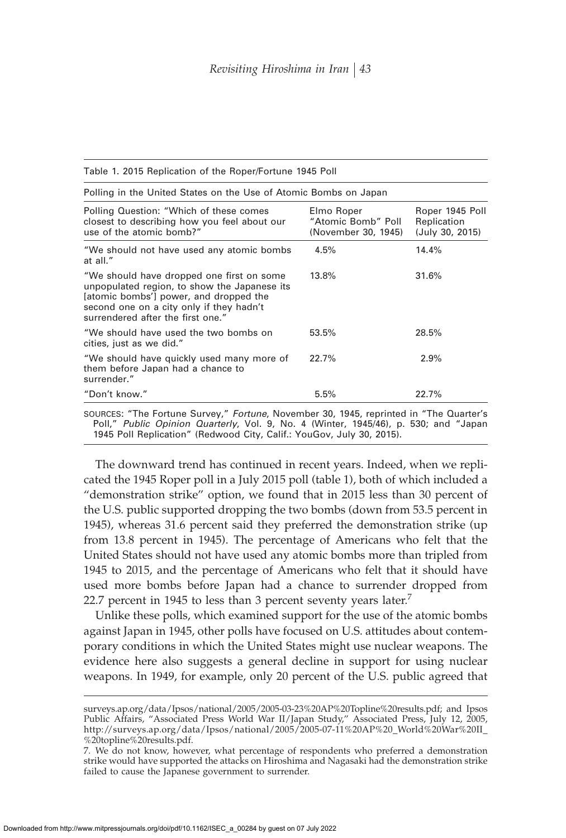#### Table 1. 2015 Replication of the Roper/Fortune 1945 Poll

| Polling in the United States on the Use of Atomic Bombs on Japan                                                                                                                                                     |                                                         |                                                   |
|----------------------------------------------------------------------------------------------------------------------------------------------------------------------------------------------------------------------|---------------------------------------------------------|---------------------------------------------------|
| Polling Question: "Which of these comes<br>closest to describing how you feel about our<br>use of the atomic bomb?"                                                                                                  | Elmo Roper<br>"Atomic Bomb" Poll<br>(November 30, 1945) | Roper 1945 Poll<br>Replication<br>(July 30, 2015) |
| "We should not have used any atomic bombs<br>at all."                                                                                                                                                                | 4.5%                                                    | 14.4%                                             |
| "We should have dropped one first on some<br>unpopulated region, to show the Japanese its<br>[atomic bombs'] power, and dropped the<br>second one on a city only if they hadn't<br>surrendered after the first one." | 13.8%                                                   | 31.6%                                             |
| "We should have used the two bombs on<br>cities, just as we did."                                                                                                                                                    | 53.5%                                                   | 28.5%                                             |
| "We should have quickly used many more of<br>them before Japan had a chance to<br>surrender."                                                                                                                        | 22.7%                                                   | 2.9%                                              |
| "Don't know."                                                                                                                                                                                                        | 5.5%                                                    | 22.7%                                             |

SOURCES: "The Fortune Survey," *Fortune*, November 30, 1945, reprinted in "The Quarter's Poll," *Public Opinion Quarterly*, Vol. 9, No. 4 (Winter, 1945/46), p. 530; and "Japan 1945 Poll Replication" (Redwood City, Calif.: YouGov, July 30, 2015).

The downward trend has continued in recent years. Indeed, when we replicated the 1945 Roper poll in a July 2015 poll (table 1), both of which included a "demonstration strike" option, we found that in 2015 less than 30 percent of the U.S. public supported dropping the two bombs (down from 53.5 percent in 1945), whereas 31.6 percent said they preferred the demonstration strike (up from 13.8 percent in 1945). The percentage of Americans who felt that the United States should not have used any atomic bombs more than tripled from 1945 to 2015, and the percentage of Americans who felt that it should have used more bombs before Japan had a chance to surrender dropped from 22.7 percent in 1945 to less than 3 percent seventy years later.<sup>7</sup>

Unlike these polls, which examined support for the use of the atomic bombs against Japan in 1945, other polls have focused on U.S. attitudes about contemporary conditions in which the United States might use nuclear weapons. The evidence here also suggests a general decline in support for using nuclear weapons. In 1949, for example, only 20 percent of the U.S. public agreed that

surveys.ap.org/data/Ipsos/national/2005/2005-03-23%20AP%20Topline%20results.pdf; and Ipsos Public Affairs, "Associated Press World War II/Japan Study," Associated Press, July 12, 2005, http://surveys.ap.org/data/Ipsos/national/2005/2005-07-11%20AP%20\_World%20War%20II\_ %20topline%20results.pdf.

<sup>7.</sup> We do not know, however, what percentage of respondents who preferred a demonstration strike would have supported the attacks on Hiroshima and Nagasaki had the demonstration strike failed to cause the Japanese government to surrender.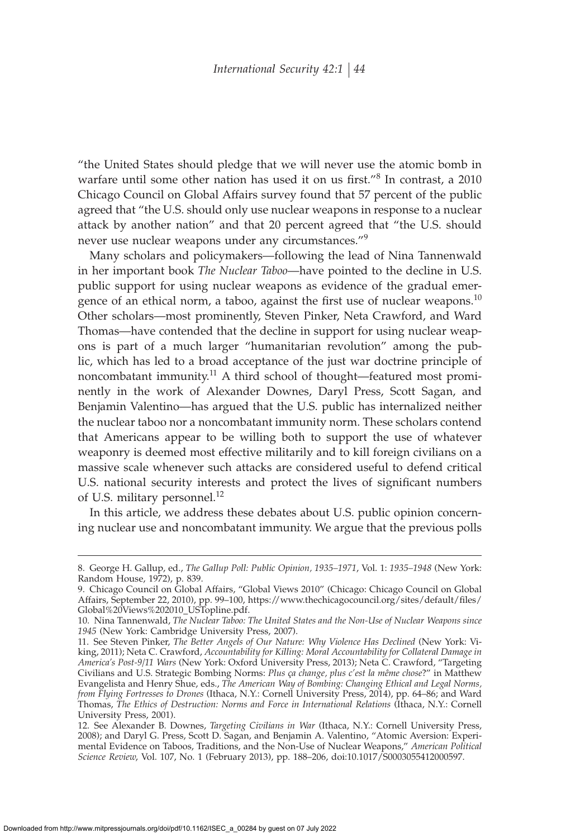"the United States should pledge that we will never use the atomic bomb in warfare until some other nation has used it on us first." $8$  In contrast, a 2010 Chicago Council on Global Affairs survey found that 57 percent of the public agreed that "the U.S. should only use nuclear weapons in response to a nuclear attack by another nation" and that 20 percent agreed that "the U.S. should never use nuclear weapons under any circumstances."<sup>9</sup>

Many scholars and policymakers—following the lead of Nina Tannenwald in her important book *The Nuclear Taboo*—have pointed to the decline in U.S. public support for using nuclear weapons as evidence of the gradual emergence of an ethical norm, a taboo, against the first use of nuclear weapons.<sup>10</sup> Other scholars—most prominently, Steven Pinker, Neta Crawford, and Ward Thomas—have contended that the decline in support for using nuclear weapons is part of a much larger "humanitarian revolution" among the public, which has led to a broad acceptance of the just war doctrine principle of noncombatant immunity.<sup>11</sup> A third school of thought—featured most prominently in the work of Alexander Downes, Daryl Press, Scott Sagan, and Benjamin Valentino—has argued that the U.S. public has internalized neither the nuclear taboo nor a noncombatant immunity norm. These scholars contend that Americans appear to be willing both to support the use of whatever weaponry is deemed most effective militarily and to kill foreign civilians on a massive scale whenever such attacks are considered useful to defend critical U.S. national security interests and protect the lives of significant numbers of U.S. military personnel.<sup>12</sup>

In this article, we address these debates about U.S. public opinion concerning nuclear use and noncombatant immunity. We argue that the previous polls

<sup>8.</sup> George H. Gallup, ed., *The Gallup Poll: Public Opinion, 1935–1971*, Vol. 1: *1935–1948* (New York: Random House, 1972), p. 839.

<sup>9.</sup> Chicago Council on Global Affairs, "Global Views 2010" (Chicago: Chicago Council on Global Affairs, September 22, 2010), pp. 99-100, https://www.thechicagocouncil.org/sites/default/files/ Global%20Views%202010\_USTopline.pdf.

<sup>10.</sup> Nina Tannenwald, *The Nuclear Taboo: The United States and the Non-Use of Nuclear Weapons since 1945* (New York: Cambridge University Press, 2007).

<sup>11.</sup> See Steven Pinker, *The Better Angels of Our Nature: Why Violence Has Declined* (New York: Viking, 2011); Neta C. Crawford, *Accountability for Killing: Moral Accountability for Collateral Damage in America's Post-9/11 Wars* (New York: Oxford University Press, 2013); Neta C. Crawford, "Targeting Civilians and U.S. Strategic Bombing Norms: *Plus ça change, plus c'est la même chose*?" in Matthew Evangelista and Henry Shue, eds., *The American Way of Bombing: Changing Ethical and Legal Norms, from Flying Fortresses to Drones* (Ithaca, N.Y.: Cornell University Press, 2014), pp. 64–86; and Ward Thomas, *The Ethics of Destruction: Norms and Force in International Relations* (Ithaca, N.Y.: Cornell University Press, 2001).

<sup>12.</sup> See Alexander B. Downes, *Targeting Civilians in War* (Ithaca, N.Y.: Cornell University Press, 2008); and Daryl G. Press, Scott D. Sagan, and Benjamin A. Valentino, "Atomic Aversion: Experimental Evidence on Taboos, Traditions, and the Non-Use of Nuclear Weapons," *American Political Science Review*, Vol. 107, No. 1 (February 2013), pp. 188–206, doi:10.1017/S0003055412000597.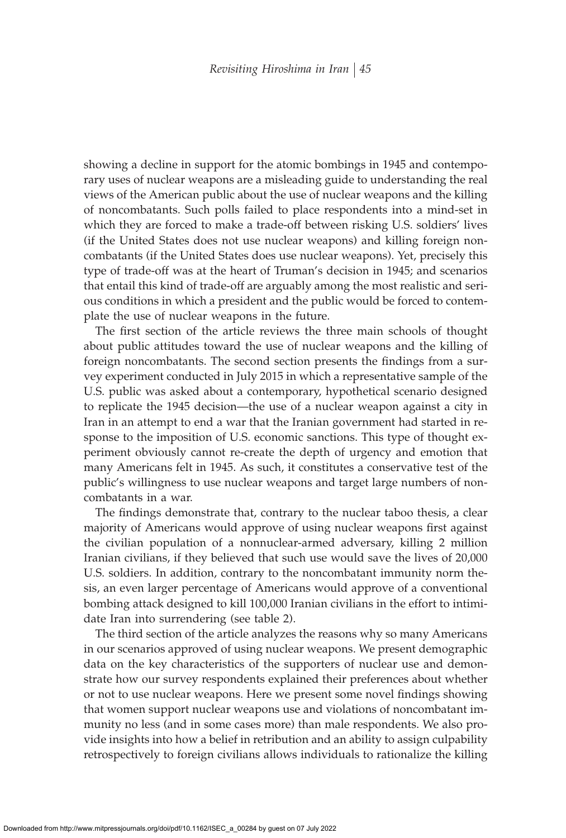showing a decline in support for the atomic bombings in 1945 and contemporary uses of nuclear weapons are a misleading guide to understanding the real views of the American public about the use of nuclear weapons and the killing of noncombatants. Such polls failed to place respondents into a mind-set in which they are forced to make a trade-off between risking U.S. soldiers' lives (if the United States does not use nuclear weapons) and killing foreign noncombatants (if the United States does use nuclear weapons). Yet, precisely this type of trade-off was at the heart of Truman's decision in 1945; and scenarios that entail this kind of trade-off are arguably among the most realistic and serious conditions in which a president and the public would be forced to contemplate the use of nuclear weapons in the future.

The first section of the article reviews the three main schools of thought about public attitudes toward the use of nuclear weapons and the killing of foreign noncombatants. The second section presents the findings from a survey experiment conducted in July 2015 in which a representative sample of the U.S. public was asked about a contemporary, hypothetical scenario designed to replicate the 1945 decision—the use of a nuclear weapon against a city in Iran in an attempt to end a war that the Iranian government had started in response to the imposition of U.S. economic sanctions. This type of thought experiment obviously cannot re-create the depth of urgency and emotion that many Americans felt in 1945. As such, it constitutes a conservative test of the public's willingness to use nuclear weapons and target large numbers of noncombatants in a war.

The findings demonstrate that, contrary to the nuclear taboo thesis, a clear majority of Americans would approve of using nuclear weapons first against the civilian population of a nonnuclear-armed adversary, killing 2 million Iranian civilians, if they believed that such use would save the lives of 20,000 U.S. soldiers. In addition, contrary to the noncombatant immunity norm thesis, an even larger percentage of Americans would approve of a conventional bombing attack designed to kill 100,000 Iranian civilians in the effort to intimidate Iran into surrendering (see table 2).

The third section of the article analyzes the reasons why so many Americans in our scenarios approved of using nuclear weapons. We present demographic data on the key characteristics of the supporters of nuclear use and demonstrate how our survey respondents explained their preferences about whether or not to use nuclear weapons. Here we present some novel findings showing that women support nuclear weapons use and violations of noncombatant immunity no less (and in some cases more) than male respondents. We also provide insights into how a belief in retribution and an ability to assign culpability retrospectively to foreign civilians allows individuals to rationalize the killing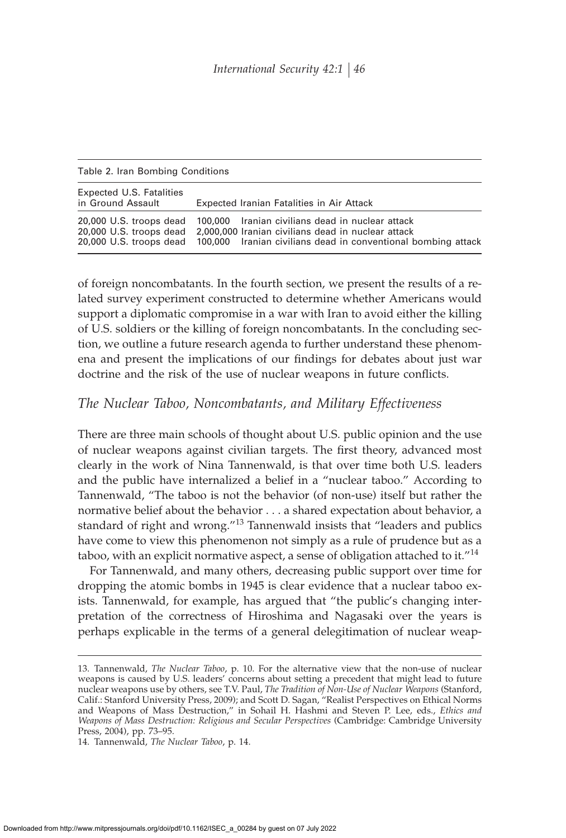| Table 2. Iran Bombing Conditions              |                                                                                                                                                                                                                                                 |  |
|-----------------------------------------------|-------------------------------------------------------------------------------------------------------------------------------------------------------------------------------------------------------------------------------------------------|--|
| Expected U.S. Fatalities<br>in Ground Assault | Expected Iranian Fatalities in Air Attack                                                                                                                                                                                                       |  |
|                                               | 20,000 U.S. troops dead 100,000 Iranian civilians dead in nuclear attack<br>20,000 U.S. troops dead 2,000,000 Iranian civilians dead in nuclear attack<br>20,000 U.S. troops dead 100,000 Iranian civilians dead in conventional bombing attack |  |

of foreign noncombatants. In the fourth section, we present the results of a related survey experiment constructed to determine whether Americans would support a diplomatic compromise in a war with Iran to avoid either the killing of U.S. soldiers or the killing of foreign noncombatants. In the concluding section, we outline a future research agenda to further understand these phenomena and present the implications of our findings for debates about just war doctrine and the risk of the use of nuclear weapons in future conflicts.

# *The Nuclear Taboo, Noncombatants, and Military Effectiveness*

There are three main schools of thought about U.S. public opinion and the use of nuclear weapons against civilian targets. The first theory, advanced most clearly in the work of Nina Tannenwald, is that over time both U.S. leaders and the public have internalized a belief in a "nuclear taboo." According to Tannenwald, "The taboo is not the behavior (of non-use) itself but rather the normative belief about the behavior...a shared expectation about behavior, a standard of right and wrong."<sup>13</sup> Tannenwald insists that "leaders and publics have come to view this phenomenon not simply as a rule of prudence but as a taboo, with an explicit normative aspect, a sense of obligation attached to it."<sup>14</sup>

For Tannenwald, and many others, decreasing public support over time for dropping the atomic bombs in 1945 is clear evidence that a nuclear taboo exists. Tannenwald, for example, has argued that "the public's changing interpretation of the correctness of Hiroshima and Nagasaki over the years is perhaps explicable in the terms of a general delegitimation of nuclear weap-

<sup>13.</sup> Tannenwald, *The Nuclear Taboo*, p. 10. For the alternative view that the non-use of nuclear weapons is caused by U.S. leaders' concerns about setting a precedent that might lead to future nuclear weapons use by others, see T.V. Paul, *The Tradition of Non-Use of Nuclear Weapons* (Stanford, Calif.: Stanford University Press, 2009); and Scott D. Sagan, "Realist Perspectives on Ethical Norms and Weapons of Mass Destruction," in Sohail H. Hashmi and Steven P. Lee, eds., *Ethics and Weapons of Mass Destruction: Religious and Secular Perspectives* (Cambridge: Cambridge University Press, 2004), pp. 73–95.

<sup>14.</sup> Tannenwald, *The Nuclear Taboo*, p. 14.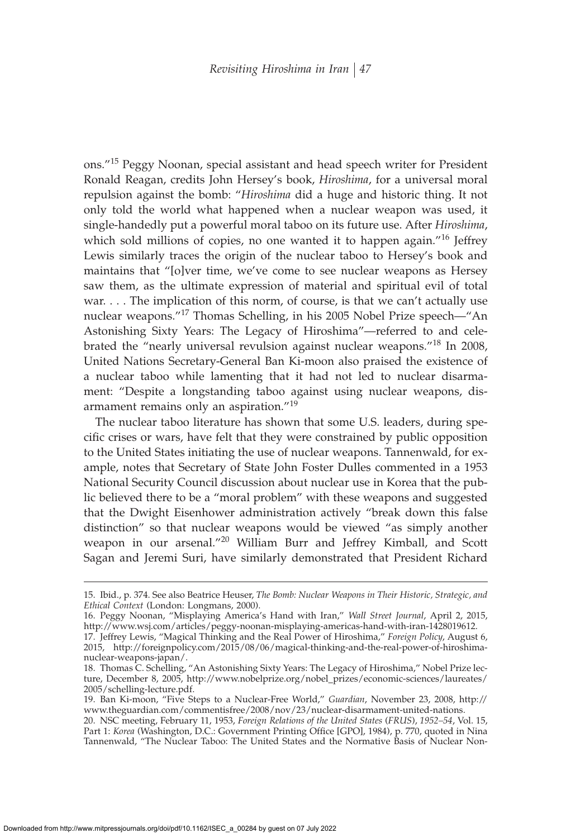ons."<sup>15</sup> Peggy Noonan, special assistant and head speech writer for President Ronald Reagan, credits John Hersey's book, *Hiroshima*, for a universal moral repulsion against the bomb: "*Hiroshima* did a huge and historic thing. It not only told the world what happened when a nuclear weapon was used, it single-handedly put a powerful moral taboo on its future use. After *Hiroshima*, which sold millions of copies, no one wanted it to happen again."<sup>16</sup> Jeffrey Lewis similarly traces the origin of the nuclear taboo to Hersey's book and maintains that "[o]ver time, we've come to see nuclear weapons as Hersey saw them, as the ultimate expression of material and spiritual evil of total war. . . . The implication of this norm, of course, is that we can't actually use nuclear weapons."<sup>17</sup> Thomas Schelling, in his 2005 Nobel Prize speech—"An Astonishing Sixty Years: The Legacy of Hiroshima"—referred to and celebrated the "nearly universal revulsion against nuclear weapons."<sup>18</sup> In 2008, United Nations Secretary-General Ban Ki-moon also praised the existence of a nuclear taboo while lamenting that it had not led to nuclear disarmament: "Despite a longstanding taboo against using nuclear weapons, disarmament remains only an aspiration."<sup>19</sup>

The nuclear taboo literature has shown that some U.S. leaders, during specific crises or wars, have felt that they were constrained by public opposition to the United States initiating the use of nuclear weapons. Tannenwald, for example, notes that Secretary of State John Foster Dulles commented in a 1953 National Security Council discussion about nuclear use in Korea that the public believed there to be a "moral problem" with these weapons and suggested that the Dwight Eisenhower administration actively "break down this false distinction" so that nuclear weapons would be viewed "as simply another weapon in our arsenal."<sup>20</sup> William Burr and Jeffrey Kimball, and Scott Sagan and Jeremi Suri, have similarly demonstrated that President Richard

<sup>15.</sup> Ibid., p. 374. See also Beatrice Heuser, *The Bomb: Nuclear Weapons in Their Historic, Strategic, and Ethical Context* (London: Longmans, 2000).

<sup>16.</sup> Peggy Noonan, "Misplaying America's Hand with Iran," *Wall Street Journal*, April 2, 2015, http://www.wsj.com/articles/peggy-noonan-misplaying-americas-hand-with-iran-1428019612.

<sup>17.</sup> Jeffrey Lewis, "Magical Thinking and the Real Power of Hiroshima," *Foreign Policy*, August 6, 2015, http://foreignpolicy.com/2015/08/06/magical-thinking-and-the-real-power-of-hiroshimanuclear-weapons-japan/.

<sup>18.</sup> Thomas C. Schelling, "An Astonishing Sixty Years: The Legacy of Hiroshima," Nobel Prize lecture, December 8, 2005, http://www.nobelprize.org/nobel\_prizes/economic-sciences/laureates/ 2005/schelling-lecture.pdf.

<sup>19.</sup> Ban Ki-moon, "Five Steps to a Nuclear-Free World," *Guardian*, November 23, 2008, http:// www.theguardian.com/commentisfree/2008/nov/23/nuclear-disarmament-united-nations.

<sup>20.</sup> NSC meeting, February 11, 1953, *Foreign Relations of the United States* (*FRUS*), *1952–54*, Vol. 15, Part 1: *Korea* (Washington, D.C.: Government Printing Office [GPO], 1984), p. 770, quoted in Nina Tannenwald, "The Nuclear Taboo: The United States and the Normative Basis of Nuclear Non-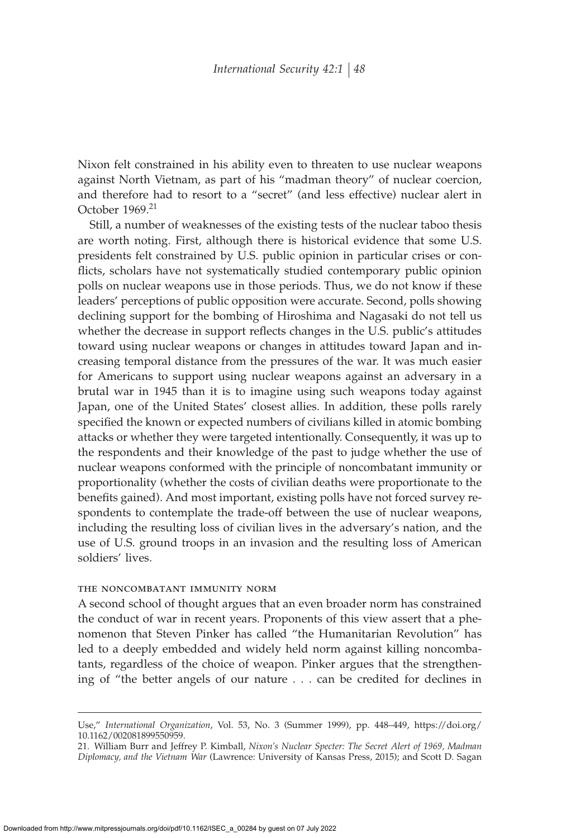Nixon felt constrained in his ability even to threaten to use nuclear weapons against North Vietnam, as part of his "madman theory" of nuclear coercion, and therefore had to resort to a "secret" (and less effective) nuclear alert in October 1969.<sup>21</sup>

Still, a number of weaknesses of the existing tests of the nuclear taboo thesis are worth noting. First, although there is historical evidence that some U.S. presidents felt constrained by U.S. public opinion in particular crises or conflicts, scholars have not systematically studied contemporary public opinion polls on nuclear weapons use in those periods. Thus, we do not know if these leaders' perceptions of public opposition were accurate. Second, polls showing declining support for the bombing of Hiroshima and Nagasaki do not tell us whether the decrease in support reflects changes in the U.S. public's attitudes toward using nuclear weapons or changes in attitudes toward Japan and increasing temporal distance from the pressures of the war. It was much easier for Americans to support using nuclear weapons against an adversary in a brutal war in 1945 than it is to imagine using such weapons today against Japan, one of the United States' closest allies. In addition, these polls rarely specified the known or expected numbers of civilians killed in atomic bombing attacks or whether they were targeted intentionally. Consequently, it was up to the respondents and their knowledge of the past to judge whether the use of nuclear weapons conformed with the principle of noncombatant immunity or proportionality (whether the costs of civilian deaths were proportionate to the benefits gained). And most important, existing polls have not forced survey respondents to contemplate the trade-off between the use of nuclear weapons, including the resulting loss of civilian lives in the adversary's nation, and the use of U.S. ground troops in an invasion and the resulting loss of American soldiers' lives.

## the noncombatant immunity norm

A second school of thought argues that an even broader norm has constrained the conduct of war in recent years. Proponents of this view assert that a phenomenon that Steven Pinker has called "the Humanitarian Revolution" has led to a deeply embedded and widely held norm against killing noncombatants, regardless of the choice of weapon. Pinker argues that the strengthening of "the better angels of our nature . . . can be credited for declines in

Use," *International Organization*, Vol. 53, No. 3 (Summer 1999), pp. 448–449, https://doi.org/ 10.1162/002081899550959.

<sup>21.</sup> William Burr and Jeffrey P. Kimball, *Nixon's Nuclear Specter: The Secret Alert of 1969, Madman Diplomacy, and the Vietnam War* (Lawrence: University of Kansas Press, 2015); and Scott D. Sagan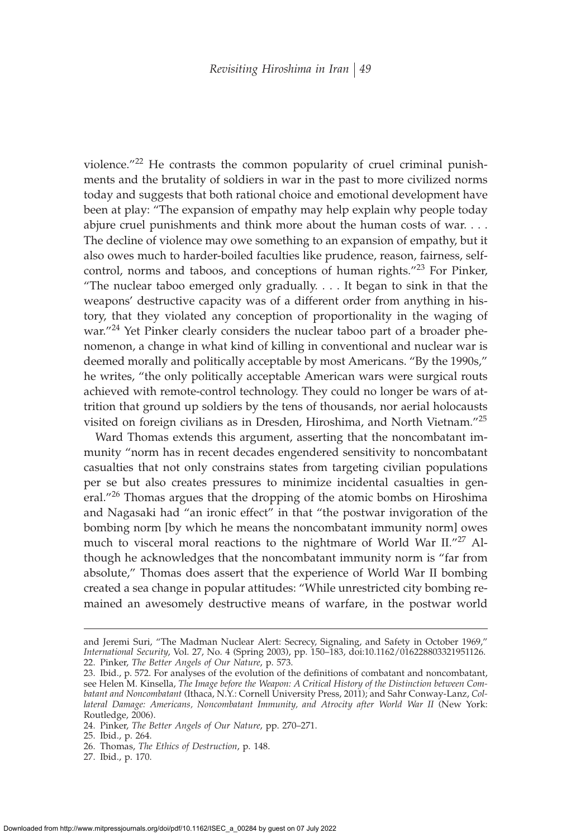violence."<sup>22</sup> He contrasts the common popularity of cruel criminal punishments and the brutality of soldiers in war in the past to more civilized norms today and suggests that both rational choice and emotional development have been at play: "The expansion of empathy may help explain why people today abjure cruel punishments and think more about the human costs of war.... The decline of violence may owe something to an expansion of empathy, but it also owes much to harder-boiled faculties like prudence, reason, fairness, selfcontrol, norms and taboos, and conceptions of human rights."<sup>23</sup> For Pinker, "The nuclear taboo emerged only gradually. . . . It began to sink in that the weapons' destructive capacity was of a different order from anything in history, that they violated any conception of proportionality in the waging of war."<sup>24</sup> Yet Pinker clearly considers the nuclear taboo part of a broader phenomenon, a change in what kind of killing in conventional and nuclear war is deemed morally and politically acceptable by most Americans. "By the 1990s," he writes, "the only politically acceptable American wars were surgical routs achieved with remote-control technology. They could no longer be wars of attrition that ground up soldiers by the tens of thousands, nor aerial holocausts visited on foreign civilians as in Dresden, Hiroshima, and North Vietnam."<sup>25</sup>

Ward Thomas extends this argument, asserting that the noncombatant immunity "norm has in recent decades engendered sensitivity to noncombatant casualties that not only constrains states from targeting civilian populations per se but also creates pressures to minimize incidental casualties in general."<sup>26</sup> Thomas argues that the dropping of the atomic bombs on Hiroshima and Nagasaki had "an ironic effect" in that "the postwar invigoration of the bombing norm [by which he means the noncombatant immunity norm] owes much to visceral moral reactions to the nightmare of World War II."<sup>27</sup> Although he acknowledges that the noncombatant immunity norm is "far from absolute," Thomas does assert that the experience of World War II bombing created a sea change in popular attitudes: "While unrestricted city bombing remained an awesomely destructive means of warfare, in the postwar world

and Jeremi Suri, "The Madman Nuclear Alert: Secrecy, Signaling, and Safety in October 1969," *International Security*, Vol. 27, No. 4 (Spring 2003), pp. 150–183, doi:10.1162/016228803321951126. 22. Pinker, *The Better Angels of Our Nature*, p. 573.

<sup>23.</sup> Ibid., p. 572. For analyses of the evolution of the definitions of combatant and noncombatant, see Helen M. Kinsella, *The Image before the Weapon: A Critical History of the Distinction between Combatant and Noncombatant* (Ithaca, N.Y.: Cornell University Press, 2011); and Sahr Conway-Lanz, *Col*lateral Damage: Americans, Noncombatant Immunity, and Atrocity after World War II (New York: Routledge, 2006).

<sup>24.</sup> Pinker, *The Better Angels of Our Nature*, pp. 270–271.

<sup>25.</sup> Ibid., p. 264.

<sup>26.</sup> Thomas, *The Ethics of Destruction*, p. 148.

<sup>27.</sup> Ibid., p. 170.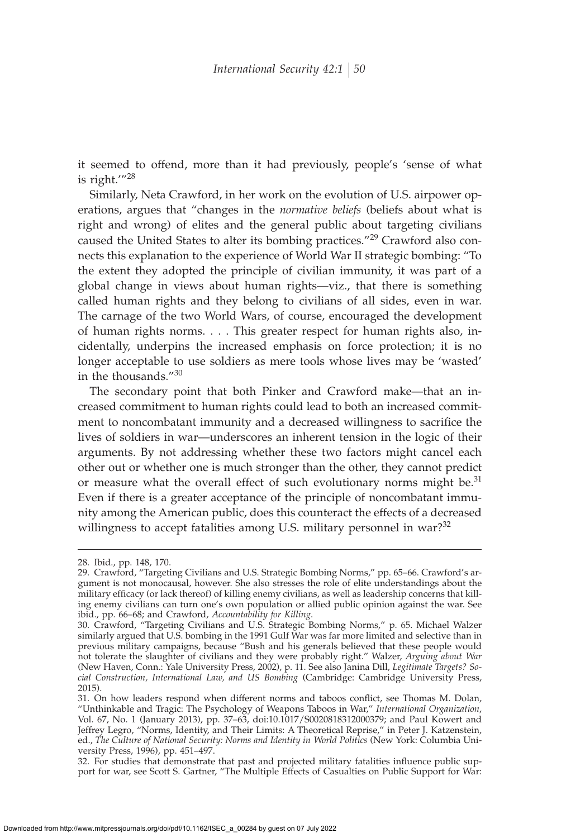it seemed to offend, more than it had previously, people's 'sense of what is right.'"<sup>28</sup>

Similarly, Neta Crawford, in her work on the evolution of U.S. airpower operations, argues that "changes in the *normative beliefs* (beliefs about what is right and wrong) of elites and the general public about targeting civilians caused the United States to alter its bombing practices."<sup>29</sup> Crawford also connects this explanation to the experience of World War II strategic bombing: "To the extent they adopted the principle of civilian immunity, it was part of a global change in views about human rights—viz., that there is something called human rights and they belong to civilians of all sides, even in war. The carnage of the two World Wars, of course, encouraged the development of human rights norms.... This greater respect for human rights also, incidentally, underpins the increased emphasis on force protection; it is no longer acceptable to use soldiers as mere tools whose lives may be 'wasted' in the thousands."<sup>30</sup>

The secondary point that both Pinker and Crawford make—that an increased commitment to human rights could lead to both an increased commitment to noncombatant immunity and a decreased willingness to sacrifice the lives of soldiers in war—underscores an inherent tension in the logic of their arguments. By not addressing whether these two factors might cancel each other out or whether one is much stronger than the other, they cannot predict or measure what the overall effect of such evolutionary norms might be. $31$ Even if there is a greater acceptance of the principle of noncombatant immunity among the American public, does this counteract the effects of a decreased willingness to accept fatalities among U.S. military personnel in war?<sup>32</sup>

32. For studies that demonstrate that past and projected military fatalities influence public support for war, see Scott S. Gartner, "The Multiple Effects of Casualties on Public Support for War:

<sup>28.</sup> Ibid., pp. 148, 170.

<sup>29.</sup> Crawford, "Targeting Civilians and U.S. Strategic Bombing Norms," pp. 65–66. Crawford's argument is not monocausal, however. She also stresses the role of elite understandings about the military efficacy (or lack thereof) of killing enemy civilians, as well as leadership concerns that killing enemy civilians can turn one's own population or allied public opinion against the war. See ibid., pp. 66–68; and Crawford, *Accountability for Killing*.

<sup>30.</sup> Crawford, "Targeting Civilians and U.S. Strategic Bombing Norms," p. 65. Michael Walzer similarly argued that U.S. bombing in the 1991 Gulf War was far more limited and selective than in previous military campaigns, because "Bush and his generals believed that these people would not tolerate the slaughter of civilians and they were probably right." Walzer, *Arguing about War* (New Haven, Conn.: Yale University Press, 2002), p. 11. See also Janina Dill, *Legitimate Targets? Social Construction, International Law, and US Bombing* (Cambridge: Cambridge University Press, 2015).

<sup>31.</sup> On how leaders respond when different norms and taboos conflict, see Thomas M. Dolan, "Unthinkable and Tragic: The Psychology of Weapons Taboos in War," *International Organization*, Vol. 67, No. 1 (January 2013), pp. 37–63, doi:10.1017/S0020818312000379; and Paul Kowert and Jeffrey Legro, "Norms, Identity, and Their Limits: A Theoretical Reprise," in Peter J. Katzenstein, ed., *The Culture of National Security: Norms and Identity in World Politics* (New York: Columbia University Press, 1996), pp. 451–497.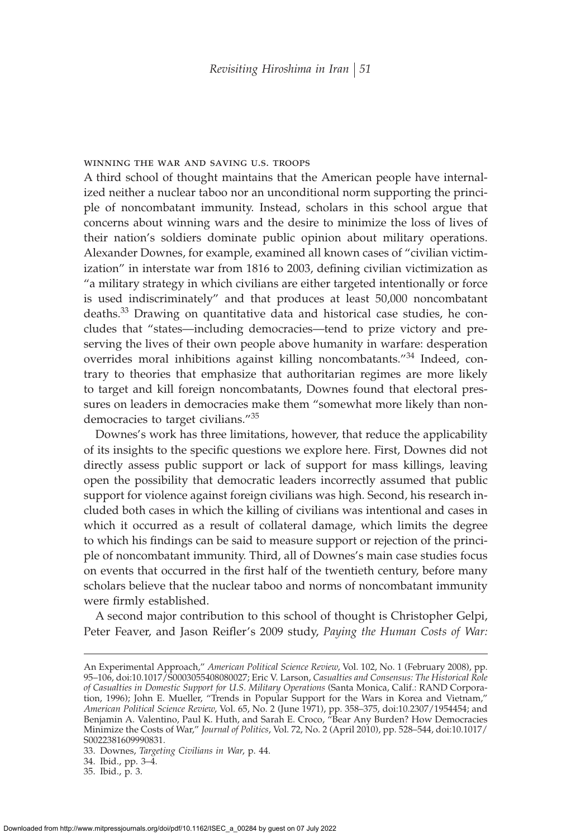### winning the war and saving u.s. troops

A third school of thought maintains that the American people have internalized neither a nuclear taboo nor an unconditional norm supporting the principle of noncombatant immunity. Instead, scholars in this school argue that concerns about winning wars and the desire to minimize the loss of lives of their nation's soldiers dominate public opinion about military operations. Alexander Downes, for example, examined all known cases of "civilian victimization" in interstate war from 1816 to 2003, defining civilian victimization as "a military strategy in which civilians are either targeted intentionally or force is used indiscriminately" and that produces at least 50,000 noncombatant deaths.<sup>33</sup> Drawing on quantitative data and historical case studies, he concludes that "states—including democracies—tend to prize victory and preserving the lives of their own people above humanity in warfare: desperation overrides moral inhibitions against killing noncombatants."<sup>34</sup> Indeed, contrary to theories that emphasize that authoritarian regimes are more likely to target and kill foreign noncombatants, Downes found that electoral pressures on leaders in democracies make them "somewhat more likely than nondemocracies to target civilians."<sup>35</sup>

Downes's work has three limitations, however, that reduce the applicability of its insights to the specific questions we explore here. First, Downes did not directly assess public support or lack of support for mass killings, leaving open the possibility that democratic leaders incorrectly assumed that public support for violence against foreign civilians was high. Second, his research included both cases in which the killing of civilians was intentional and cases in which it occurred as a result of collateral damage, which limits the degree to which his findings can be said to measure support or rejection of the principle of noncombatant immunity. Third, all of Downes's main case studies focus on events that occurred in the first half of the twentieth century, before many scholars believe that the nuclear taboo and norms of noncombatant immunity were firmly established.

A second major contribution to this school of thought is Christopher Gelpi, Peter Feaver, and Jason Reifler's 2009 study, *Paying the Human Costs of War*:

- 34. Ibid., pp. 3–4.
- 35. Ibid., p. 3.

An Experimental Approach," *American Political Science Review*, Vol. 102, No. 1 (February 2008), pp. 95–106, doi:10.1017/S0003055408080027; Eric V. Larson, *Casualties and Consensus: The Historical Role of Casualties in Domestic Support for U.S. Military Operations* (Santa Monica, Calif.: RAND Corporation, 1996); John E. Mueller, "Trends in Popular Support for the Wars in Korea and Vietnam," *American Political Science Review*, Vol. 65, No. 2 (June 1971), pp. 358–375, doi:10.2307/1954454; and Benjamin A. Valentino, Paul K. Huth, and Sarah E. Croco, "Bear Any Burden? How Democracies Minimize the Costs of War," *Journal of Politics*, Vol. 72, No. 2 (April 2010), pp. 528–544, doi:10.1017/ S0022381609990831.

<sup>33.</sup> Downes, *Targeting Civilians in War*, p. 44.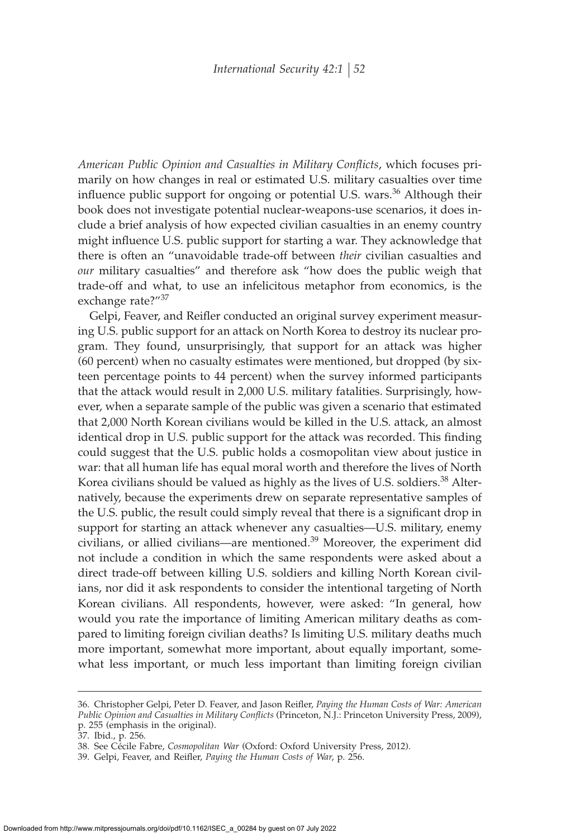*American Public Opinion and Casualties in Military Conflicts, which focuses pri*marily on how changes in real or estimated U.S. military casualties over time influence public support for ongoing or potential U.S. wars.<sup>36</sup> Although their book does not investigate potential nuclear-weapons-use scenarios, it does include a brief analysis of how expected civilian casualties in an enemy country might influence U.S. public support for starting a war. They acknowledge that there is often an "unavoidable trade-off between *their* civilian casualties and *our* military casualties" and therefore ask "how does the public weigh that trade-off and what, to use an infelicitous metaphor from economics, is the exchange rate?"<sup>37</sup>

Gelpi, Feaver, and Reifler conducted an original survey experiment measuring U.S. public support for an attack on North Korea to destroy its nuclear program. They found, unsurprisingly, that support for an attack was higher (60 percent) when no casualty estimates were mentioned, but dropped (by sixteen percentage points to 44 percent) when the survey informed participants that the attack would result in 2,000 U.S. military fatalities. Surprisingly, however, when a separate sample of the public was given a scenario that estimated that 2,000 North Korean civilians would be killed in the U.S. attack, an almost identical drop in U.S. public support for the attack was recorded. This finding could suggest that the U.S. public holds a cosmopolitan view about justice in war: that all human life has equal moral worth and therefore the lives of North Korea civilians should be valued as highly as the lives of U.S. soldiers.<sup>38</sup> Alternatively, because the experiments drew on separate representative samples of the U.S. public, the result could simply reveal that there is a significant drop in support for starting an attack whenever any casualties—U.S. military, enemy civilians, or allied civilians—are mentioned. $39$  Moreover, the experiment did not include a condition in which the same respondents were asked about a direct trade-off between killing U.S. soldiers and killing North Korean civilians, nor did it ask respondents to consider the intentional targeting of North Korean civilians. All respondents, however, were asked: "In general, how would you rate the importance of limiting American military deaths as compared to limiting foreign civilian deaths? Is limiting U.S. military deaths much more important, somewhat more important, about equally important, somewhat less important, or much less important than limiting foreign civilian

<sup>36.</sup> Christopher Gelpi, Peter D. Feaver, and Jason Reifler, *Paying the Human Costs of War: American* Public Opinion and Casualties in Military Conflicts (Princeton, N.J.: Princeton University Press, 2009), p. 255 (emphasis in the original).

<sup>37.</sup> Ibid., p. 256.

<sup>38.</sup> See Cécile Fabre, *Cosmopolitan War* (Oxford: Oxford University Press, 2012).

<sup>39.</sup> Gelpi, Feaver, and Reifler, *Paying the Human Costs of War*, p. 256.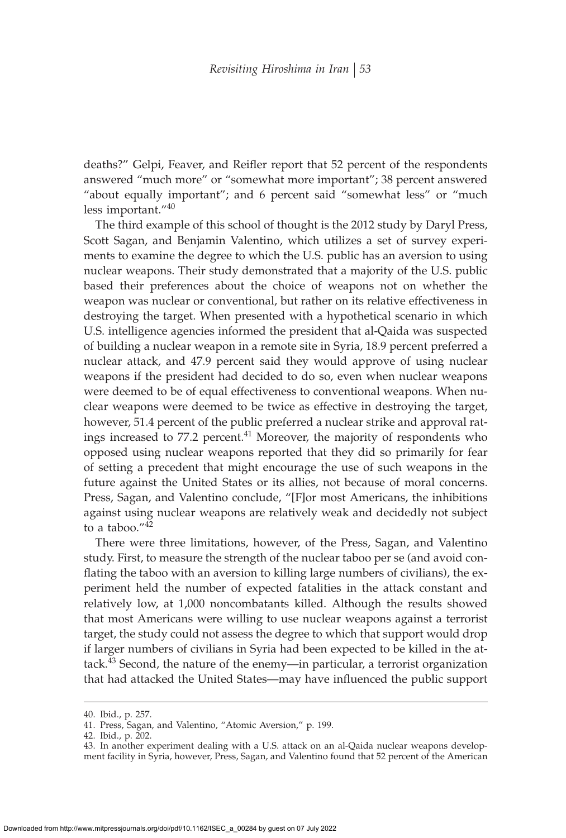deaths?" Gelpi, Feaver, and Reifler report that 52 percent of the respondents answered "much more" or "somewhat more important"; 38 percent answered "about equally important"; and 6 percent said "somewhat less" or "much less important."<sup>40</sup>

The third example of this school of thought is the 2012 study by Daryl Press, Scott Sagan, and Benjamin Valentino, which utilizes a set of survey experiments to examine the degree to which the U.S. public has an aversion to using nuclear weapons. Their study demonstrated that a majority of the U.S. public based their preferences about the choice of weapons not on whether the weapon was nuclear or conventional, but rather on its relative effectiveness in destroying the target. When presented with a hypothetical scenario in which U.S. intelligence agencies informed the president that al-Qaida was suspected of building a nuclear weapon in a remote site in Syria, 18.9 percent preferred a nuclear attack, and 47.9 percent said they would approve of using nuclear weapons if the president had decided to do so, even when nuclear weapons were deemed to be of equal effectiveness to conventional weapons. When nuclear weapons were deemed to be twice as effective in destroying the target, however, 51.4 percent of the public preferred a nuclear strike and approval ratings increased to  $77.2$  percent.<sup>41</sup> Moreover, the majority of respondents who opposed using nuclear weapons reported that they did so primarily for fear of setting a precedent that might encourage the use of such weapons in the future against the United States or its allies, not because of moral concerns. Press, Sagan, and Valentino conclude, "[F]or most Americans, the inhibitions against using nuclear weapons are relatively weak and decidedly not subject to a taboo. $142$ 

There were three limitations, however, of the Press, Sagan, and Valentino study. First, to measure the strength of the nuclear taboo per se (and avoid conflating the taboo with an aversion to killing large numbers of civilians), the experiment held the number of expected fatalities in the attack constant and relatively low, at 1,000 noncombatants killed. Although the results showed that most Americans were willing to use nuclear weapons against a terrorist target, the study could not assess the degree to which that support would drop if larger numbers of civilians in Syria had been expected to be killed in the attack.<sup>43</sup> Second, the nature of the enemy—in particular, a terrorist organization that had attacked the United States—may have influenced the public support

42. Ibid., p. 202.

<sup>40.</sup> Ibid., p. 257.

<sup>41.</sup> Press, Sagan, and Valentino, "Atomic Aversion," p. 199.

<sup>43.</sup> In another experiment dealing with a U.S. attack on an al-Qaida nuclear weapons development facility in Syria, however, Press, Sagan, and Valentino found that 52 percent of the American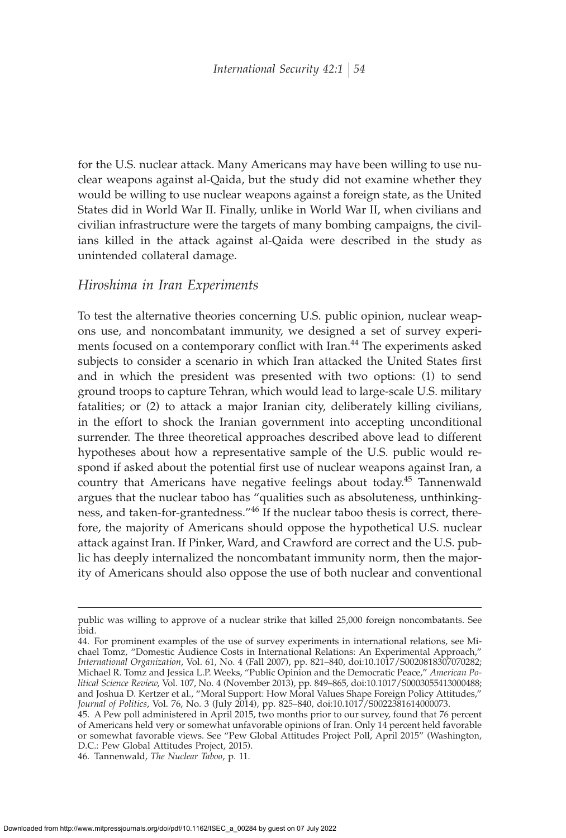for the U.S. nuclear attack. Many Americans may have been willing to use nuclear weapons against al-Qaida, but the study did not examine whether they would be willing to use nuclear weapons against a foreign state, as the United States did in World War II. Finally, unlike in World War II, when civilians and civilian infrastructure were the targets of many bombing campaigns, the civilians killed in the attack against al-Qaida were described in the study as unintended collateral damage.

# *Hiroshima in Iran Experiments*

To test the alternative theories concerning U.S. public opinion, nuclear weapons use, and noncombatant immunity, we designed a set of survey experiments focused on a contemporary conflict with Iran.<sup>44</sup> The experiments asked subjects to consider a scenario in which Iran attacked the United States first and in which the president was presented with two options: (1) to send ground troops to capture Tehran, which would lead to large-scale U.S. military fatalities; or (2) to attack a major Iranian city, deliberately killing civilians, in the effort to shock the Iranian government into accepting unconditional surrender. The three theoretical approaches described above lead to different hypotheses about how a representative sample of the U.S. public would respond if asked about the potential first use of nuclear weapons against Iran, a country that Americans have negative feelings about today.<sup>45</sup> Tannenwald argues that the nuclear taboo has "qualities such as absoluteness, unthinkingness, and taken-for-grantedness."<sup>46</sup> If the nuclear taboo thesis is correct, therefore, the majority of Americans should oppose the hypothetical U.S. nuclear attack against Iran. If Pinker, Ward, and Crawford are correct and the U.S. public has deeply internalized the noncombatant immunity norm, then the majority of Americans should also oppose the use of both nuclear and conventional

public was willing to approve of a nuclear strike that killed 25,000 foreign noncombatants. See ibid.

<sup>44.</sup> For prominent examples of the use of survey experiments in international relations, see Michael Tomz, "Domestic Audience Costs in International Relations: An Experimental Approach," *International Organization*, Vol. 61, No. 4 (Fall 2007), pp. 821–840, doi:10.1017/S0020818307070282; Michael R. Tomz and Jessica L.P. Weeks, "Public Opinion and the Democratic Peace," *American Political Science Review*, Vol. 107, No. 4 (November 2013), pp. 849–865, doi:10.1017/S0003055413000488; and Joshua D. Kertzer et al., "Moral Support: How Moral Values Shape Foreign Policy Attitudes," *Journal of Politics*, Vol. 76, No. 3 (July 2014), pp. 825–840, doi:10.1017/S0022381614000073.

<sup>45.</sup> A Pew poll administered in April 2015, two months prior to our survey, found that 76 percent of Americans held very or somewhat unfavorable opinions of Iran. Only 14 percent held favorable or somewhat favorable views. See "Pew Global Attitudes Project Poll, April 2015" (Washington, D.C.: Pew Global Attitudes Project, 2015).

<sup>46.</sup> Tannenwald, *The Nuclear Taboo*, p. 11.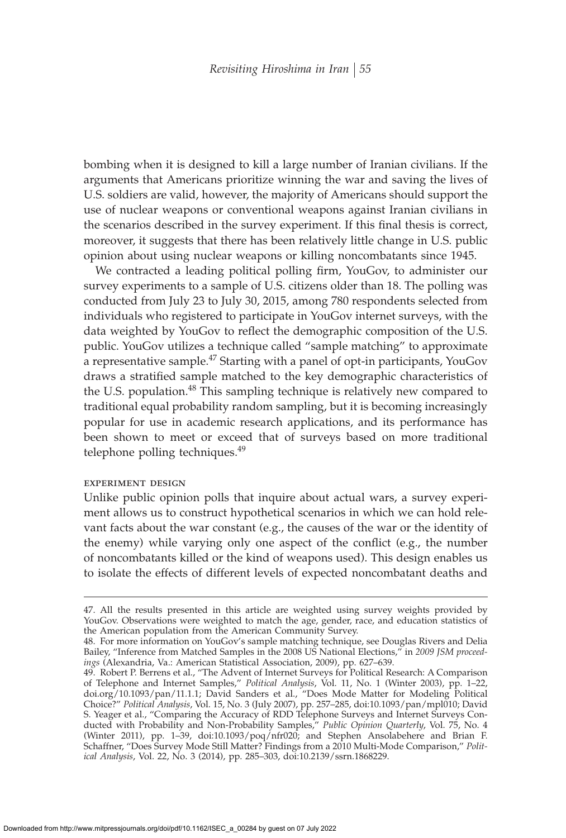bombing when it is designed to kill a large number of Iranian civilians. If the arguments that Americans prioritize winning the war and saving the lives of U.S. soldiers are valid, however, the majority of Americans should support the use of nuclear weapons or conventional weapons against Iranian civilians in the scenarios described in the survey experiment. If this final thesis is correct, moreover, it suggests that there has been relatively little change in U.S. public opinion about using nuclear weapons or killing noncombatants since 1945.

We contracted a leading political polling firm, YouGov, to administer our survey experiments to a sample of U.S. citizens older than 18. The polling was conducted from July 23 to July 30, 2015, among 780 respondents selected from individuals who registered to participate in YouGov internet surveys, with the data weighted by YouGov to reflect the demographic composition of the U.S. public. YouGov utilizes a technique called "sample matching" to approximate a representative sample.<sup>47</sup> Starting with a panel of opt-in participants, YouGov draws a stratified sample matched to the key demographic characteristics of the U.S. population.<sup>48</sup> This sampling technique is relatively new compared to traditional equal probability random sampling, but it is becoming increasingly popular for use in academic research applications, and its performance has been shown to meet or exceed that of surveys based on more traditional telephone polling techniques.<sup>49</sup>

### experiment design

Unlike public opinion polls that inquire about actual wars, a survey experiment allows us to construct hypothetical scenarios in which we can hold relevant facts about the war constant (e.g., the causes of the war or the identity of the enemy) while varying only one aspect of the conflict (e.g., the number of noncombatants killed or the kind of weapons used). This design enables us to isolate the effects of different levels of expected noncombatant deaths and

<sup>47.</sup> All the results presented in this article are weighted using survey weights provided by YouGov. Observations were weighted to match the age, gender, race, and education statistics of the American population from the American Community Survey.

<sup>48.</sup> For more information on YouGov's sample matching technique, see Douglas Rivers and Delia Bailey, "Inference from Matched Samples in the 2008 US National Elections," in *2009 JSM proceedings* (Alexandria, Va.: American Statistical Association, 2009), pp. 627–639.

<sup>49.</sup> Robert P. Berrens et al., "The Advent of Internet Surveys for Political Research: A Comparison of Telephone and Internet Samples," *Political Analysis*, Vol. 11, No. 1 (Winter 2003), pp. 1–22, doi.org/10.1093/pan/11.1.1; David Sanders et al., "Does Mode Matter for Modeling Political Choice?" *Political Analysis*, Vol. 15, No. 3 (July 2007), pp. 257–285, doi:10.1093/pan/mpl010; David S. Yeager et al., "Comparing the Accuracy of RDD Telephone Surveys and Internet Surveys Conducted with Probability and Non-Probability Samples," *Public Opinion Quarterly*, Vol. 75, No. 4 (Winter 2011), pp. 1–39, doi:10.1093/poq/nfr020; and Stephen Ansolabehere and Brian F. Schaffner, "Does Survey Mode Still Matter? Findings from a 2010 Multi-Mode Comparison," *Political Analysis*, Vol. 22, No. 3 (2014), pp. 285–303, doi:10.2139/ssrn.1868229.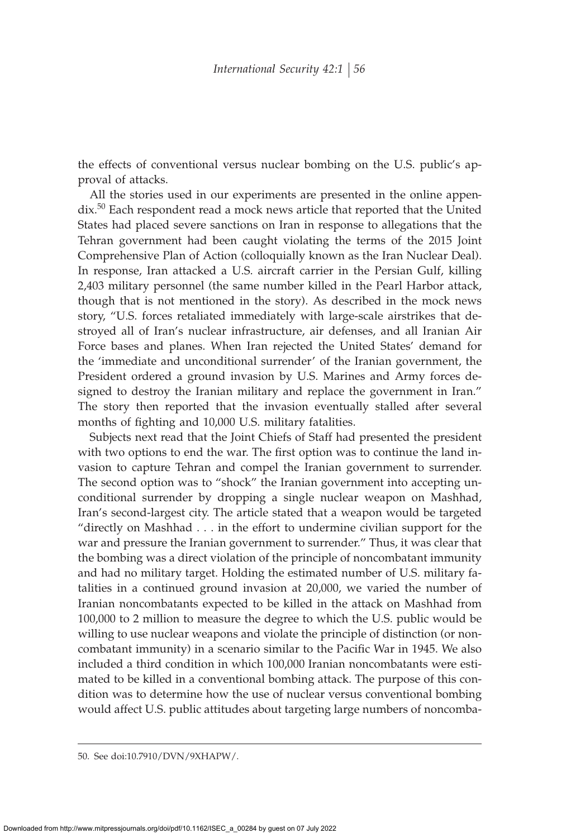the effects of conventional versus nuclear bombing on the U.S. public's approval of attacks.

All the stories used in our experiments are presented in the online appendix.<sup>50</sup> Each respondent read a mock news article that reported that the United States had placed severe sanctions on Iran in response to allegations that the Tehran government had been caught violating the terms of the 2015 Joint Comprehensive Plan of Action (colloquially known as the Iran Nuclear Deal). In response, Iran attacked a U.S. aircraft carrier in the Persian Gulf, killing 2,403 military personnel (the same number killed in the Pearl Harbor attack, though that is not mentioned in the story). As described in the mock news story, "U.S. forces retaliated immediately with large-scale airstrikes that destroyed all of Iran's nuclear infrastructure, air defenses, and all Iranian Air Force bases and planes. When Iran rejected the United States' demand for the 'immediate and unconditional surrender' of the Iranian government, the President ordered a ground invasion by U.S. Marines and Army forces designed to destroy the Iranian military and replace the government in Iran." The story then reported that the invasion eventually stalled after several months of fighting and 10,000 U.S. military fatalities.

Subjects next read that the Joint Chiefs of Staff had presented the president with two options to end the war. The first option was to continue the land invasion to capture Tehran and compel the Iranian government to surrender. The second option was to "shock" the Iranian government into accepting unconditional surrender by dropping a single nuclear weapon on Mashhad, Iran's second-largest city. The article stated that a weapon would be targeted "directly on Mashhad . . . in the effort to undermine civilian support for the war and pressure the Iranian government to surrender." Thus, it was clear that the bombing was a direct violation of the principle of noncombatant immunity and had no military target. Holding the estimated number of U.S. military fatalities in a continued ground invasion at 20,000, we varied the number of Iranian noncombatants expected to be killed in the attack on Mashhad from 100,000 to 2 million to measure the degree to which the U.S. public would be willing to use nuclear weapons and violate the principle of distinction (or noncombatant immunity) in a scenario similar to the Pacific War in 1945. We also included a third condition in which 100,000 Iranian noncombatants were estimated to be killed in a conventional bombing attack. The purpose of this condition was to determine how the use of nuclear versus conventional bombing would affect U.S. public attitudes about targeting large numbers of noncomba-

<sup>50.</sup> See doi:10.7910/DVN/9XHAPW/.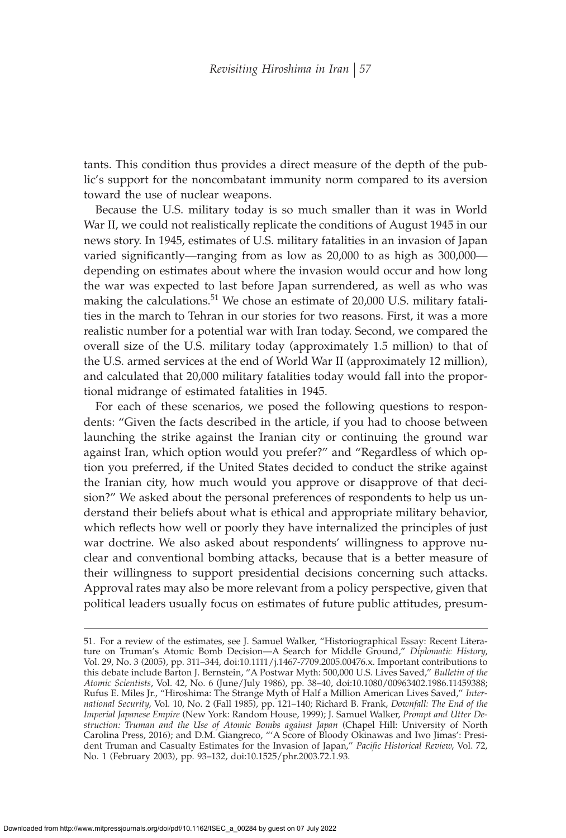tants. This condition thus provides a direct measure of the depth of the public's support for the noncombatant immunity norm compared to its aversion toward the use of nuclear weapons.

Because the U.S. military today is so much smaller than it was in World War II, we could not realistically replicate the conditions of August 1945 in our news story. In 1945, estimates of U.S. military fatalities in an invasion of Japan varied significantly—ranging from as low as 20,000 to as high as 300,000 depending on estimates about where the invasion would occur and how long the war was expected to last before Japan surrendered, as well as who was making the calculations.<sup>51</sup> We chose an estimate of 20,000 U.S. military fatalities in the march to Tehran in our stories for two reasons. First, it was a more realistic number for a potential war with Iran today. Second, we compared the overall size of the U.S. military today (approximately 1.5 million) to that of the U.S. armed services at the end of World War II (approximately 12 million), and calculated that 20,000 military fatalities today would fall into the proportional midrange of estimated fatalities in 1945.

For each of these scenarios, we posed the following questions to respondents: "Given the facts described in the article, if you had to choose between launching the strike against the Iranian city or continuing the ground war against Iran, which option would you prefer?" and "Regardless of which option you preferred, if the United States decided to conduct the strike against the Iranian city, how much would you approve or disapprove of that decision?" We asked about the personal preferences of respondents to help us understand their beliefs about what is ethical and appropriate military behavior, which reflects how well or poorly they have internalized the principles of just war doctrine. We also asked about respondents' willingness to approve nuclear and conventional bombing attacks, because that is a better measure of their willingness to support presidential decisions concerning such attacks. Approval rates may also be more relevant from a policy perspective, given that political leaders usually focus on estimates of future public attitudes, presum-

<sup>51.</sup> For a review of the estimates, see J. Samuel Walker, "Historiographical Essay: Recent Literature on Truman's Atomic Bomb Decision—A Search for Middle Ground," *Diplomatic History*, Vol. 29, No. 3 (2005), pp. 311–344, doi:10.1111/j.1467-7709.2005.00476.x. Important contributions to this debate include Barton J. Bernstein, "A Postwar Myth: 500,000 U.S. Lives Saved," *Bulletin of the Atomic Scientists*, Vol. 42, No. 6 (June/July 1986), pp. 38–40, doi:10.1080/00963402.1986.11459388; Rufus E. Miles Jr., "Hiroshima: The Strange Myth of Half a Million American Lives Saved," *International Security*, Vol. 10, No. 2 (Fall 1985), pp. 121–140; Richard B. Frank, *Downfall: The End of the Imperial Japanese Empire* (New York: Random House, 1999); J. Samuel Walker, *Prompt and Utter Destruction: Truman and the Use of Atomic Bombs against Japan* (Chapel Hill: University of North Carolina Press, 2016); and D.M. Giangreco, "'A Score of Bloody Okinawas and Iwo Jimas': President Truman and Casualty Estimates for the Invasion of Japan," *Pacific Historical Review,* Vol. 72, No. 1 (February 2003), pp. 93–132, doi:10.1525/phr.2003.72.1.93.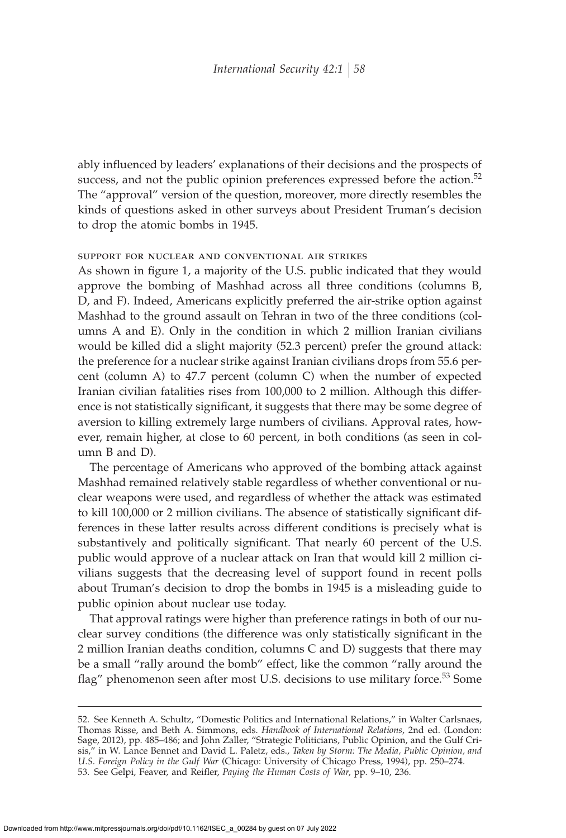ably influenced by leaders' explanations of their decisions and the prospects of success, and not the public opinion preferences expressed before the action.<sup>52</sup> The "approval" version of the question, moreover, more directly resembles the kinds of questions asked in other surveys about President Truman's decision to drop the atomic bombs in 1945.

## support for nuclear and conventional air strikes

As shown in figure 1, a majority of the U.S. public indicated that they would approve the bombing of Mashhad across all three conditions (columns B, D, and F). Indeed, Americans explicitly preferred the air-strike option against Mashhad to the ground assault on Tehran in two of the three conditions (columns A and E). Only in the condition in which 2 million Iranian civilians would be killed did a slight majority (52.3 percent) prefer the ground attack: the preference for a nuclear strike against Iranian civilians drops from 55.6 percent (column A) to 47.7 percent (column C) when the number of expected Iranian civilian fatalities rises from 100,000 to 2 million. Although this difference is not statistically significant, it suggests that there may be some degree of aversion to killing extremely large numbers of civilians. Approval rates, however, remain higher, at close to 60 percent, in both conditions (as seen in column B and D).

The percentage of Americans who approved of the bombing attack against Mashhad remained relatively stable regardless of whether conventional or nuclear weapons were used, and regardless of whether the attack was estimated to kill 100,000 or 2 million civilians. The absence of statistically significant differences in these latter results across different conditions is precisely what is substantively and politically significant. That nearly 60 percent of the U.S. public would approve of a nuclear attack on Iran that would kill 2 million civilians suggests that the decreasing level of support found in recent polls about Truman's decision to drop the bombs in 1945 is a misleading guide to public opinion about nuclear use today.

That approval ratings were higher than preference ratings in both of our nuclear survey conditions (the difference was only statistically significant in the 2 million Iranian deaths condition, columns C and D) suggests that there may be a small "rally around the bomb" effect, like the common "rally around the flag" phenomenon seen after most U.S. decisions to use military force.<sup>53</sup> Some

<sup>52.</sup> See Kenneth A. Schultz, "Domestic Politics and International Relations," in Walter Carlsnaes, Thomas Risse, and Beth A. Simmons, eds. *Handbook of International Relations*, 2nd ed. (London: Sage, 2012), pp. 485–486; and John Zaller, "Strategic Politicians, Public Opinion, and the Gulf Crisis," in W. Lance Bennet and David L. Paletz, eds., *Taken by Storm: The Media, Public Opinion, and U.S. Foreign Policy in the Gulf War* (Chicago: University of Chicago Press, 1994), pp. 250–274. 53. See Gelpi, Feaver, and Reifler, *Paying the Human Costs of War*, pp. 9–10, 236.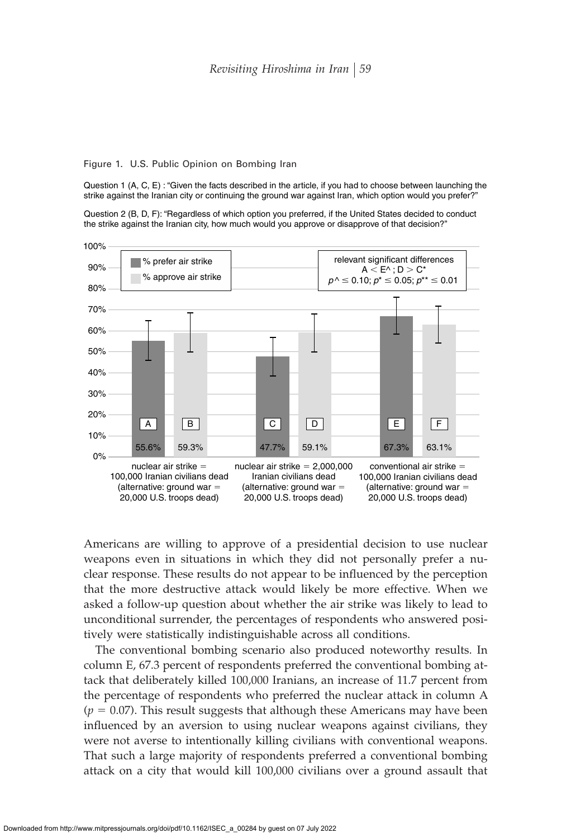#### Figure 1. U.S. Public Opinion on Bombing Iran

Question 1 (A, C, E) : "Given the facts described in the article, if you had to choose between launching the strike against the Iranian city or continuing the ground war against Iran, which option would you prefer?"

Question 2 (B, D, F): "Regardless of which option you preferred, if the United States decided to conduct the strike against the Iranian city, how much would you approve or disapprove of that decision?"



Americans are willing to approve of a presidential decision to use nuclear weapons even in situations in which they did not personally prefer a nuclear response. These results do not appear to be influenced by the perception that the more destructive attack would likely be more effective. When we asked a follow-up question about whether the air strike was likely to lead to unconditional surrender, the percentages of respondents who answered positively were statistically indistinguishable across all conditions.

The conventional bombing scenario also produced noteworthy results. In column E, 67.3 percent of respondents preferred the conventional bombing attack that deliberately killed 100,000 Iranians, an increase of 11.7 percent from the percentage of respondents who preferred the nuclear attack in column A  $(p = 0.07)$ . This result suggests that although these Americans may have been influenced by an aversion to using nuclear weapons against civilians, they were not averse to intentionally killing civilians with conventional weapons. That such a large majority of respondents preferred a conventional bombing attack on a city that would kill 100,000 civilians over a ground assault that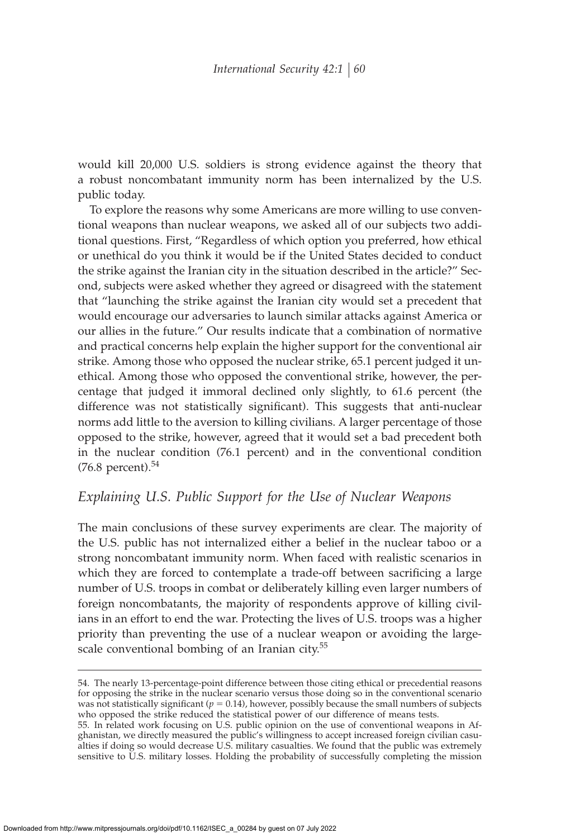would kill 20,000 U.S. soldiers is strong evidence against the theory that a robust noncombatant immunity norm has been internalized by the U.S. public today.

To explore the reasons why some Americans are more willing to use conventional weapons than nuclear weapons, we asked all of our subjects two additional questions. First, "Regardless of which option you preferred, how ethical or unethical do you think it would be if the United States decided to conduct the strike against the Iranian city in the situation described in the article?" Second, subjects were asked whether they agreed or disagreed with the statement that "launching the strike against the Iranian city would set a precedent that would encourage our adversaries to launch similar attacks against America or our allies in the future." Our results indicate that a combination of normative and practical concerns help explain the higher support for the conventional air strike. Among those who opposed the nuclear strike, 65.1 percent judged it unethical. Among those who opposed the conventional strike, however, the percentage that judged it immoral declined only slightly, to 61.6 percent (the difference was not statistically significant). This suggests that anti-nuclear norms add little to the aversion to killing civilians. A larger percentage of those opposed to the strike, however, agreed that it would set a bad precedent both in the nuclear condition (76.1 percent) and in the conventional condition  $(76.8 \text{ percent})$ .<sup>54</sup>

# *Explaining U.S. Public Support for the Use of Nuclear Weapons*

The main conclusions of these survey experiments are clear. The majority of the U.S. public has not internalized either a belief in the nuclear taboo or a strong noncombatant immunity norm. When faced with realistic scenarios in which they are forced to contemplate a trade-off between sacrificing a large number of U.S. troops in combat or deliberately killing even larger numbers of foreign noncombatants, the majority of respondents approve of killing civilians in an effort to end the war. Protecting the lives of U.S. troops was a higher priority than preventing the use of a nuclear weapon or avoiding the largescale conventional bombing of an Iranian city.<sup>55</sup>

<sup>54.</sup> The nearly 13-percentage-point difference between those citing ethical or precedential reasons for opposing the strike in the nuclear scenario versus those doing so in the conventional scenario was not statistically significant ( $p = 0.14$ ), however, possibly because the small numbers of subjects who opposed the strike reduced the statistical power of our difference of means tests.

<sup>55.</sup> In related work focusing on U.S. public opinion on the use of conventional weapons in Afghanistan, we directly measured the public's willingness to accept increased foreign civilian casualties if doing so would decrease U.S. military casualties. We found that the public was extremely sensitive to U.S. military losses. Holding the probability of successfully completing the mission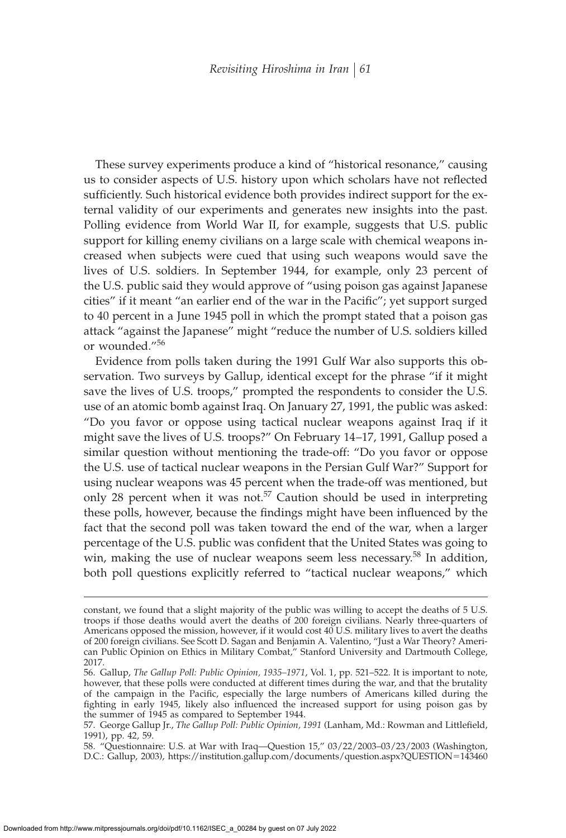These survey experiments produce a kind of "historical resonance," causing us to consider aspects of U.S. history upon which scholars have not reflected sufficiently. Such historical evidence both provides indirect support for the external validity of our experiments and generates new insights into the past. Polling evidence from World War II, for example, suggests that U.S. public support for killing enemy civilians on a large scale with chemical weapons increased when subjects were cued that using such weapons would save the lives of U.S. soldiers. In September 1944, for example, only 23 percent of the U.S. public said they would approve of "using poison gas against Japanese cities" if it meant "an earlier end of the war in the Pacific"; yet support surged to 40 percent in a June 1945 poll in which the prompt stated that a poison gas attack "against the Japanese" might "reduce the number of U.S. soldiers killed or wounded."<sup>56</sup>

Evidence from polls taken during the 1991 Gulf War also supports this observation. Two surveys by Gallup, identical except for the phrase "if it might save the lives of U.S. troops," prompted the respondents to consider the U.S. use of an atomic bomb against Iraq. On January 27, 1991, the public was asked: "Do you favor or oppose using tactical nuclear weapons against Iraq if it might save the lives of U.S. troops?" On February 14–17, 1991, Gallup posed a similar question without mentioning the trade-off: "Do you favor or oppose the U.S. use of tactical nuclear weapons in the Persian Gulf War?" Support for using nuclear weapons was 45 percent when the trade-off was mentioned, but only 28 percent when it was not.<sup>57</sup> Caution should be used in interpreting these polls, however, because the findings might have been influenced by the fact that the second poll was taken toward the end of the war, when a larger percentage of the U.S. public was confident that the United States was going to win, making the use of nuclear weapons seem less necessary.<sup>58</sup> In addition, both poll questions explicitly referred to "tactical nuclear weapons," which

constant, we found that a slight majority of the public was willing to accept the deaths of 5 U.S. troops if those deaths would avert the deaths of 200 foreign civilians. Nearly three-quarters of Americans opposed the mission, however, if it would cost  $40$  U.S. military lives to avert the deaths of 200 foreign civilians. See Scott D. Sagan and Benjamin A. Valentino, "Just a War Theory? American Public Opinion on Ethics in Military Combat," Stanford University and Dartmouth College, 2017.

<sup>56.</sup> Gallup, *The Gallup Poll: Public Opinion, 1935–1971*, Vol. 1, pp. 521–522. It is important to note, however, that these polls were conducted at different times during the war, and that the brutality of the campaign in the Pacific, especially the large numbers of Americans killed during the fighting in early 1945, likely also influenced the increased support for using poison gas by the summer of 1945 as compared to September 1944.

<sup>57.</sup> George Gallup Jr., *The Gallup Poll: Public Opinion*, 1991 (Lanham, Md.: Rowman and Littlefield, 1991), pp. 42, 59.

<sup>58. &</sup>quot;Questionnaire: U.S. at War with Iraq—Question 15," 03/22/2003–03/23/2003 (Washington, D.C.: Gallup, 2003), https://institution.gallup.com/documents/question.aspx?QUESTION-143460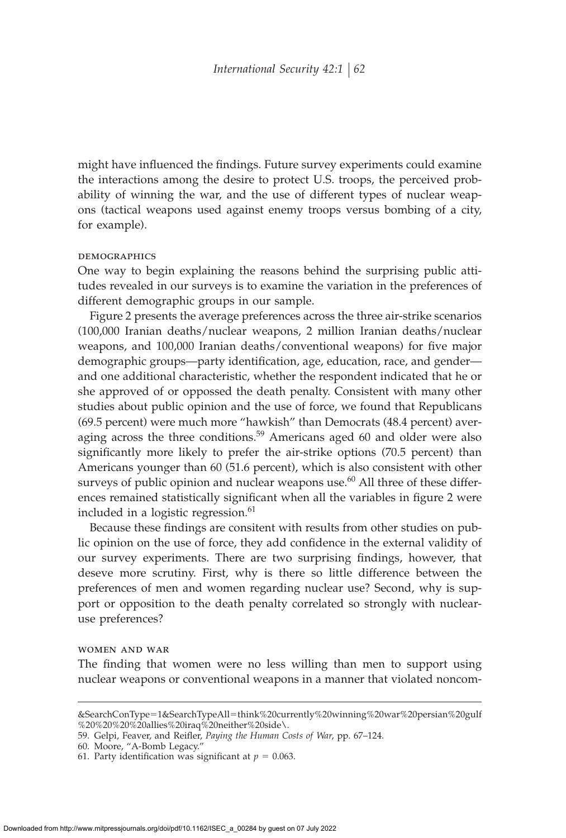might have influenced the findings. Future survey experiments could examine the interactions among the desire to protect U.S. troops, the perceived probability of winning the war, and the use of different types of nuclear weapons (tactical weapons used against enemy troops versus bombing of a city, for example).

### **DEMOGRAPHICS**

One way to begin explaining the reasons behind the surprising public attitudes revealed in our surveys is to examine the variation in the preferences of different demographic groups in our sample.

Figure 2 presents the average preferences across the three air-strike scenarios (100,000 Iranian deaths/nuclear weapons, 2 million Iranian deaths/nuclear weapons, and 100,000 Iranian deaths/conventional weapons) for five major demographic groups—party identification, age, education, race, and gender and one additional characteristic, whether the respondent indicated that he or she approved of or oppossed the death penalty. Consistent with many other studies about public opinion and the use of force, we found that Republicans (69.5 percent) were much more "hawkish" than Democrats (48.4 percent) averaging across the three conditions.<sup>59</sup> Americans aged 60 and older were also significantly more likely to prefer the air-strike options (70.5 percent) than Americans younger than 60 (51.6 percent), which is also consistent with other surveys of public opinion and nuclear weapons use. $60$  All three of these differences remained statistically significant when all the variables in figure 2 were included in a logistic regression.<sup>61</sup>

Because these findings are consitent with results from other studies on public opinion on the use of force, they add confidence in the external validity of our survey experiments. There are two surprising findings, however, that deseve more scrutiny. First, why is there so little difference between the preferences of men and women regarding nuclear use? Second, why is support or opposition to the death penalty correlated so strongly with nuclearuse preferences?

### women and war

The finding that women were no less willing than men to support using nuclear weapons or conventional weapons in a manner that violated noncom-

<sup>&</sup>amp;SearchConType-1&SearchTypeAll-think%20currently%20winning%20war%20persian%20gulf %20%20%20%20allies%20iraq%20neither%20side\.

<sup>59.</sup> Gelpi, Feaver, and Reifler, *Paying the Human Costs of War*, pp. 67–124.

<sup>60.</sup> Moore, "A-Bomb Legacy."

<sup>61.</sup> Party identification was significant at  $p = 0.063$ .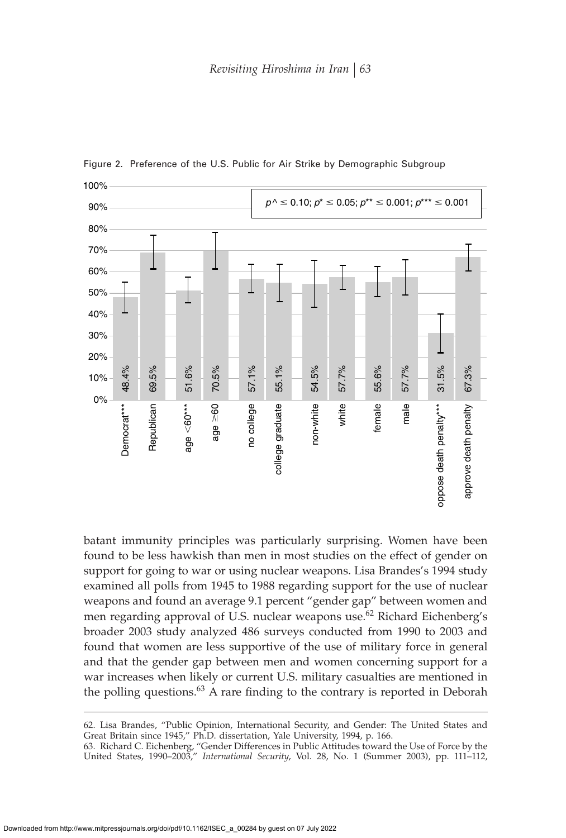

Figure 2. Preference of the U.S. Public for Air Strike by Demographic Subgroup

batant immunity principles was particularly surprising. Women have been found to be less hawkish than men in most studies on the effect of gender on support for going to war or using nuclear weapons. Lisa Brandes's 1994 study examined all polls from 1945 to 1988 regarding support for the use of nuclear weapons and found an average 9.1 percent "gender gap" between women and men regarding approval of U.S. nuclear weapons use.<sup>62</sup> Richard Eichenberg's broader 2003 study analyzed 486 surveys conducted from 1990 to 2003 and found that women are less supportive of the use of military force in general and that the gender gap between men and women concerning support for a war increases when likely or current U.S. military casualties are mentioned in the polling questions. $63$  A rare finding to the contrary is reported in Deborah

62. Lisa Brandes, "Public Opinion, International Security, and Gender: The United States and Great Britain since 1945," Ph.D. dissertation, Yale University, 1994, p. 166. 63. Richard C. Eichenberg, "Gender Differences in Public Attitudes toward the Use of Force by the

United States, 1990–2003," *International Security*, Vol. 28, No. 1 (Summer 2003), pp. 111–112,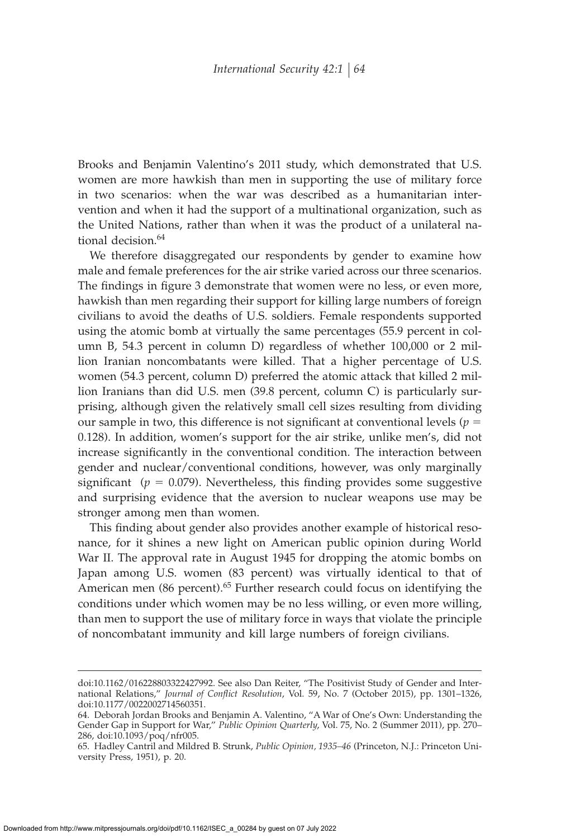Brooks and Benjamin Valentino's 2011 study, which demonstrated that U.S. women are more hawkish than men in supporting the use of military force in two scenarios: when the war was described as a humanitarian intervention and when it had the support of a multinational organization, such as the United Nations, rather than when it was the product of a unilateral national decision.<sup>64</sup>

We therefore disaggregated our respondents by gender to examine how male and female preferences for the air strike varied across our three scenarios. The findings in figure 3 demonstrate that women were no less, or even more, hawkish than men regarding their support for killing large numbers of foreign civilians to avoid the deaths of U.S. soldiers. Female respondents supported using the atomic bomb at virtually the same percentages (55.9 percent in column B, 54.3 percent in column D) regardless of whether 100,000 or 2 million Iranian noncombatants were killed. That a higher percentage of U.S. women (54.3 percent, column D) preferred the atomic attack that killed 2 million Iranians than did U.S. men (39.8 percent, column C) is particularly surprising, although given the relatively small cell sizes resulting from dividing our sample in two, this difference is not significant at conventional levels ( $p =$ 0.128). In addition, women's support for the air strike, unlike men's, did not increase significantly in the conventional condition. The interaction between gender and nuclear/conventional conditions, however, was only marginally significant  $(p = 0.079)$ . Nevertheless, this finding provides some suggestive and surprising evidence that the aversion to nuclear weapons use may be stronger among men than women.

This finding about gender also provides another example of historical resonance, for it shines a new light on American public opinion during World War II. The approval rate in August 1945 for dropping the atomic bombs on Japan among U.S. women (83 percent) was virtually identical to that of American men (86 percent).<sup>65</sup> Further research could focus on identifying the conditions under which women may be no less willing, or even more willing, than men to support the use of military force in ways that violate the principle of noncombatant immunity and kill large numbers of foreign civilians.

doi:10.1162/016228803322427992. See also Dan Reiter, "The Positivist Study of Gender and International Relations," *Journal of Conflict Resolution*, Vol. 59, No. 7 (October 2015), pp. 1301-1326, doi:10.1177/0022002714560351.

<sup>64.</sup> Deborah Jordan Brooks and Benjamin A. Valentino, "A War of One's Own: Understanding the Gender Gap in Support for War," *Public Opinion Quarterly*, Vol. 75, No. 2 (Summer 2011), pp. 270– 286, doi:10.1093/poq/nfr005.

<sup>65.</sup> Hadley Cantril and Mildred B. Strunk, *Public Opinion, 1935–46* (Princeton, N.J.: Princeton University Press, 1951), p. 20.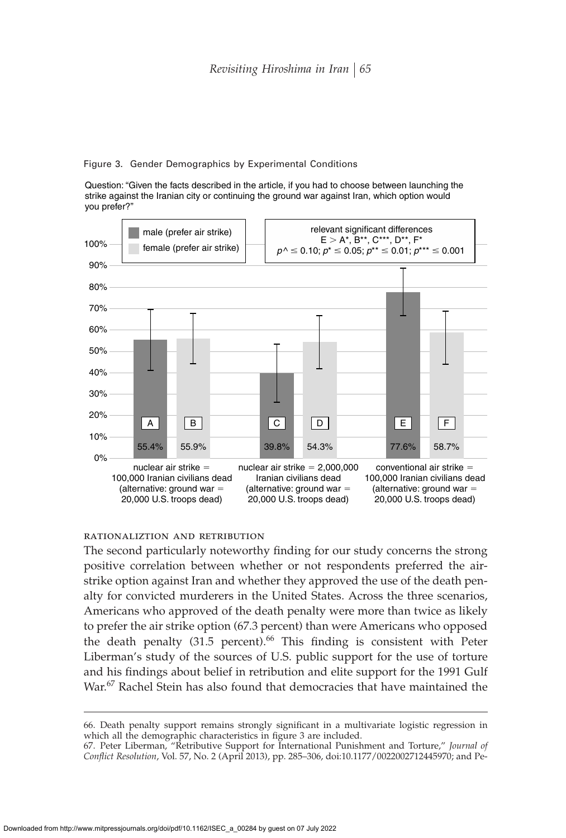### Figure 3. Gender Demographics by Experimental Conditions

Question: "Given the facts described in the article, if you had to choose between launching the strike against the Iranian city or continuing the ground war against Iran, which option would you prefer?"



### rationaliztion and retribution

The second particularly noteworthy finding for our study concerns the strong positive correlation between whether or not respondents preferred the airstrike option against Iran and whether they approved the use of the death penalty for convicted murderers in the United States. Across the three scenarios, Americans who approved of the death penalty were more than twice as likely to prefer the air strike option (67.3 percent) than were Americans who opposed the death penalty  $(31.5$  percent).<sup>66</sup> This finding is consistent with Peter Liberman's study of the sources of U.S. public support for the use of torture and his findings about belief in retribution and elite support for the 1991 Gulf War.<sup>67</sup> Rachel Stein has also found that democracies that have maintained the

<sup>66.</sup> Death penalty support remains strongly significant in a multivariate logistic regression in which all the demographic characteristics in figure 3 are included.

<sup>67.</sup> Peter Liberman, "Retributive Support for International Punishment and Torture," *Journal of Conºict Resolution*, Vol. 57, No. 2 (April 2013), pp. 285–306, doi:10.1177/0022002712445970; and Pe-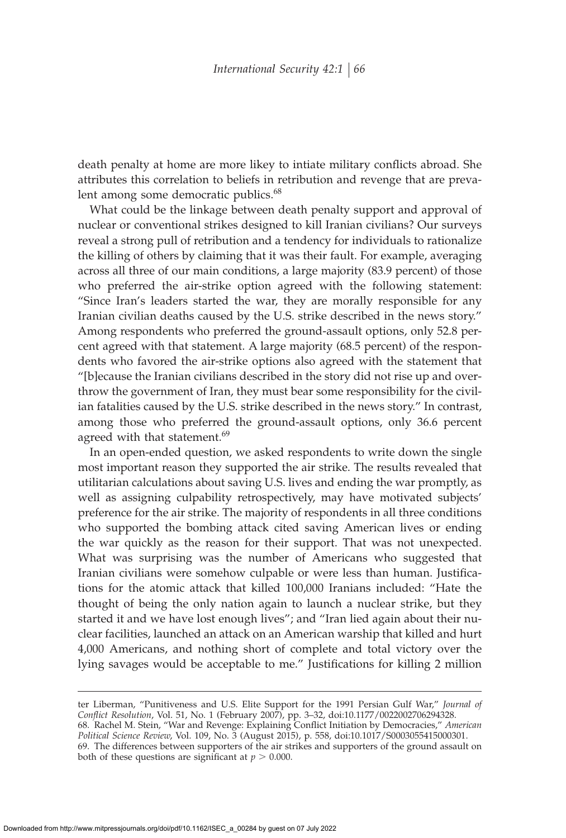death penalty at home are more likey to intiate military conflicts abroad. She attributes this correlation to beliefs in retribution and revenge that are prevalent among some democratic publics.<sup>68</sup>

What could be the linkage between death penalty support and approval of nuclear or conventional strikes designed to kill Iranian civilians? Our surveys reveal a strong pull of retribution and a tendency for individuals to rationalize the killing of others by claiming that it was their fault. For example, averaging across all three of our main conditions, a large majority (83.9 percent) of those who preferred the air-strike option agreed with the following statement: "Since Iran's leaders started the war, they are morally responsible for any Iranian civilian deaths caused by the U.S. strike described in the news story." Among respondents who preferred the ground-assault options, only 52.8 percent agreed with that statement. A large majority (68.5 percent) of the respondents who favored the air-strike options also agreed with the statement that "[b]ecause the Iranian civilians described in the story did not rise up and overthrow the government of Iran, they must bear some responsibility for the civilian fatalities caused by the U.S. strike described in the news story." In contrast, among those who preferred the ground-assault options, only 36.6 percent agreed with that statement.<sup>69</sup>

In an open-ended question, we asked respondents to write down the single most important reason they supported the air strike. The results revealed that utilitarian calculations about saving U.S. lives and ending the war promptly, as well as assigning culpability retrospectively, may have motivated subjects' preference for the air strike. The majority of respondents in all three conditions who supported the bombing attack cited saving American lives or ending the war quickly as the reason for their support. That was not unexpected. What was surprising was the number of Americans who suggested that Iranian civilians were somehow culpable or were less than human. Justifications for the atomic attack that killed 100,000 Iranians included: "Hate the thought of being the only nation again to launch a nuclear strike, but they started it and we have lost enough lives"; and "Iran lied again about their nuclear facilities, launched an attack on an American warship that killed and hurt 4,000 Americans, and nothing short of complete and total victory over the lying savages would be acceptable to me." Justifications for killing 2 million

ter Liberman, "Punitiveness and U.S. Elite Support for the 1991 Persian Gulf War," *Journal of Conºict Resolution*, Vol. 51, No. 1 (February 2007), pp. 3–32, doi:10.1177/0022002706294328. 68. Rachel M. Stein, "War and Revenge: Explaining Conflict Initiation by Democracies," *American Political Science Review*, Vol. 109, No. 3 (August 2015), p. 558, doi:10.1017/S0003055415000301. 69. The differences between supporters of the air strikes and supporters of the ground assault on both of these questions are significant at  $p > 0.000$ .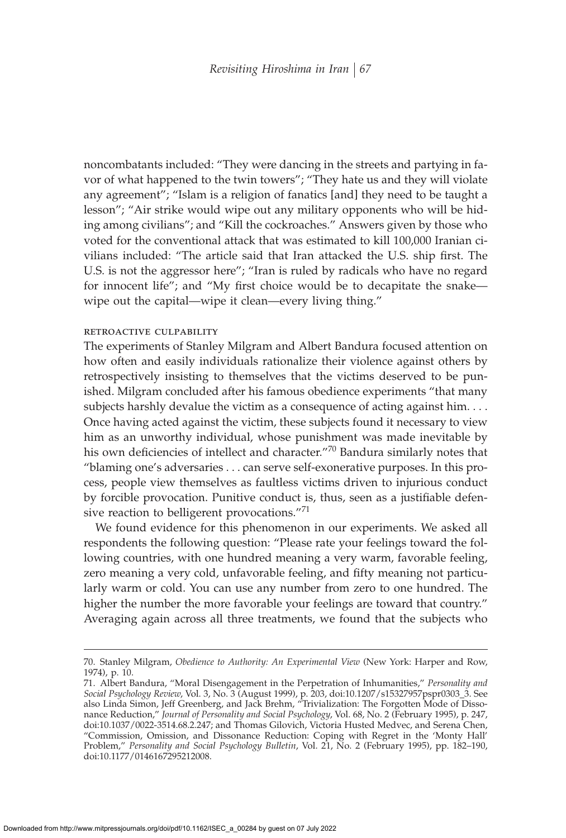noncombatants included: "They were dancing in the streets and partying in favor of what happened to the twin towers"; "They hate us and they will violate any agreement"; "Islam is a religion of fanatics [and] they need to be taught a lesson"; "Air strike would wipe out any military opponents who will be hiding among civilians"; and "Kill the cockroaches." Answers given by those who voted for the conventional attack that was estimated to kill 100,000 Iranian civilians included: "The article said that Iran attacked the U.S. ship first. The U.S. is not the aggressor here"; "Iran is ruled by radicals who have no regard for innocent life"; and "My first choice would be to decapitate the snake wipe out the capital—wipe it clean—every living thing."

### retroactive culpability

The experiments of Stanley Milgram and Albert Bandura focused attention on how often and easily individuals rationalize their violence against others by retrospectively insisting to themselves that the victims deserved to be punished. Milgram concluded after his famous obedience experiments "that many subjects harshly devalue the victim as a consequence of acting against him.... Once having acted against the victim, these subjects found it necessary to view him as an unworthy individual, whose punishment was made inevitable by his own deficiencies of intellect and character."<sup>70</sup> Bandura similarly notes that "blaming one's adversaries . . . can serve self-exonerative purposes. In this process, people view themselves as faultless victims driven to injurious conduct by forcible provocation. Punitive conduct is, thus, seen as a justifiable defensive reaction to belligerent provocations."<sup>71</sup>

We found evidence for this phenomenon in our experiments. We asked all respondents the following question: "Please rate your feelings toward the following countries, with one hundred meaning a very warm, favorable feeling, zero meaning a very cold, unfavorable feeling, and fifty meaning not particularly warm or cold. You can use any number from zero to one hundred. The higher the number the more favorable your feelings are toward that country." Averaging again across all three treatments, we found that the subjects who

<sup>70.</sup> Stanley Milgram, *Obedience to Authority: An Experimental View* (New York: Harper and Row, 1974), p. 10.

<sup>71.</sup> Albert Bandura, "Moral Disengagement in the Perpetration of Inhumanities," *Personality and Social Psychology Review*, Vol. 3, No. 3 (August 1999), p. 203, doi:10.1207/s15327957pspr0303\_3. See also Linda Simon, Jeff Greenberg, and Jack Brehm, "Trivialization: The Forgotten Mode of Dissonance Reduction," *Journal of Personality and Social Psychology*, Vol. 68, No. 2 (February 1995), p. 247, doi:10.1037/0022-3514.68.2.247; and Thomas Gilovich, Victoria Husted Medvec, and Serena Chen, "Commission, Omission, and Dissonance Reduction: Coping with Regret in the 'Monty Hall' Problem," *Personality and Social Psychology Bulletin*, Vol. 21, No. 2 (February 1995), pp. 182–190, doi:10.1177/0146167295212008.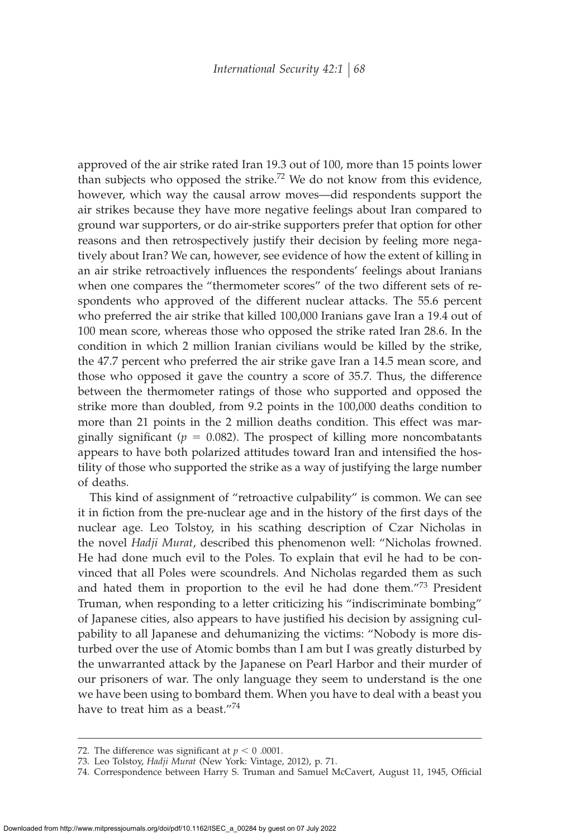approved of the air strike rated Iran 19.3 out of 100, more than 15 points lower than subjects who opposed the strike.<sup>72</sup> We do not know from this evidence, however, which way the causal arrow moves—did respondents support the air strikes because they have more negative feelings about Iran compared to ground war supporters, or do air-strike supporters prefer that option for other reasons and then retrospectively justify their decision by feeling more negatively about Iran? We can, however, see evidence of how the extent of killing in an air strike retroactively influences the respondents' feelings about Iranians when one compares the "thermometer scores" of the two different sets of respondents who approved of the different nuclear attacks. The 55.6 percent who preferred the air strike that killed 100,000 Iranians gave Iran a 19.4 out of 100 mean score, whereas those who opposed the strike rated Iran 28.6. In the condition in which 2 million Iranian civilians would be killed by the strike, the 47.7 percent who preferred the air strike gave Iran a 14.5 mean score, and those who opposed it gave the country a score of 35.7. Thus, the difference between the thermometer ratings of those who supported and opposed the strike more than doubled, from 9.2 points in the 100,000 deaths condition to more than 21 points in the 2 million deaths condition. This effect was marginally significant ( $p = 0.082$ ). The prospect of killing more noncombatants appears to have both polarized attitudes toward Iran and intensified the hostility of those who supported the strike as a way of justifying the large number of deaths.

This kind of assignment of "retroactive culpability" is common. We can see it in fiction from the pre-nuclear age and in the history of the first days of the nuclear age. Leo Tolstoy, in his scathing description of Czar Nicholas in the novel *Hadji Murat*, described this phenomenon well: "Nicholas frowned. He had done much evil to the Poles. To explain that evil he had to be convinced that all Poles were scoundrels. And Nicholas regarded them as such and hated them in proportion to the evil he had done them."<sup>73</sup> President Truman, when responding to a letter criticizing his "indiscriminate bombing" of Japanese cities, also appears to have justified his decision by assigning culpability to all Japanese and dehumanizing the victims: "Nobody is more disturbed over the use of Atomic bombs than I am but I was greatly disturbed by the unwarranted attack by the Japanese on Pearl Harbor and their murder of our prisoners of war. The only language they seem to understand is the one we have been using to bombard them. When you have to deal with a beast you have to treat him as a beast."<sup>74</sup>

<sup>72.</sup> The difference was significant at  $p < 0.0001$ .

<sup>73.</sup> Leo Tolstoy, *Hadji Murat* (New York: Vintage, 2012), p. 71.

<sup>74.</sup> Correspondence between Harry S. Truman and Samuel McCavert, August 11, 1945, Official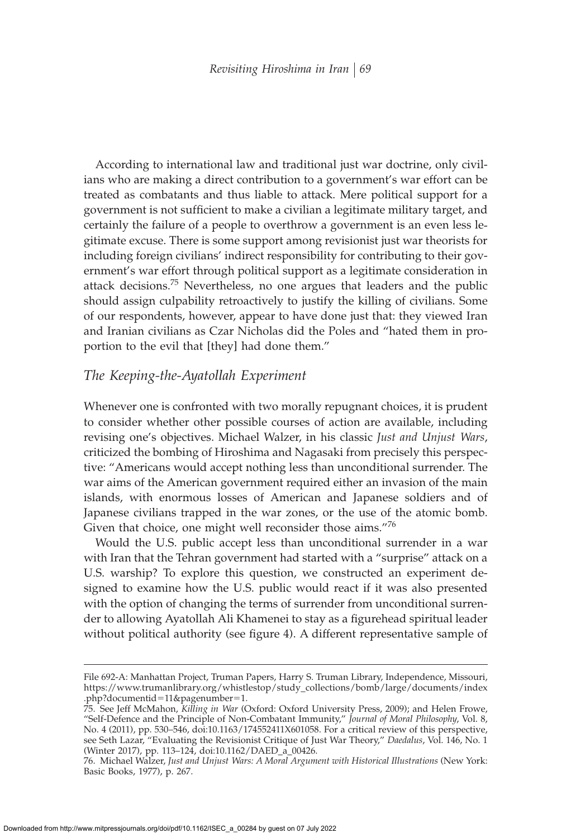According to international law and traditional just war doctrine, only civilians who are making a direct contribution to a government's war effort can be treated as combatants and thus liable to attack. Mere political support for a government is not sufficient to make a civilian a legitimate military target, and certainly the failure of a people to overthrow a government is an even less legitimate excuse. There is some support among revisionist just war theorists for including foreign civilians' indirect responsibility for contributing to their government's war effort through political support as a legitimate consideration in attack decisions.<sup>75</sup> Nevertheless, no one argues that leaders and the public should assign culpability retroactively to justify the killing of civilians. Some of our respondents, however, appear to have done just that: they viewed Iran and Iranian civilians as Czar Nicholas did the Poles and "hated them in proportion to the evil that [they] had done them."

# *The Keeping-the-Ayatollah Experiment*

Whenever one is confronted with two morally repugnant choices, it is prudent to consider whether other possible courses of action are available, including revising one's objectives. Michael Walzer, in his classic *Just and Unjust Wars*, criticized the bombing of Hiroshima and Nagasaki from precisely this perspective: "Americans would accept nothing less than unconditional surrender. The war aims of the American government required either an invasion of the main islands, with enormous losses of American and Japanese soldiers and of Japanese civilians trapped in the war zones, or the use of the atomic bomb. Given that choice, one might well reconsider those aims."76

Would the U.S. public accept less than unconditional surrender in a war with Iran that the Tehran government had started with a "surprise" attack on a U.S. warship? To explore this question, we constructed an experiment designed to examine how the U.S. public would react if it was also presented with the option of changing the terms of surrender from unconditional surrender to allowing Ayatollah Ali Khamenei to stay as a figurehead spiritual leader without political authority (see figure 4). A different representative sample of

File 692-A: Manhattan Project, Truman Papers, Harry S. Truman Library, Independence, Missouri, https://www.trumanlibrary.org/whistlestop/study\_collections/bomb/large/documents/index .php?documentid-11&pagenumber-1.

<sup>75.</sup> See Jeff McMahon, *Killing in War* (Oxford: Oxford University Press, 2009); and Helen Frowe, "Self-Defence and the Principle of Non-Combatant Immunity," *Journal of Moral Philosophy*, Vol. 8, No. 4 (2011), pp. 530–546, doi:10.1163/174552411X601058. For a critical review of this perspective, see Seth Lazar, "Evaluating the Revisionist Critique of Just War Theory," *Daedalus*, Vol. 146, No. 1 (Winter 2017), pp. 113–124, doi:10.1162/DAED\_a\_00426.

<sup>76.</sup> Michael Walzer, *Just and Unjust Wars: A Moral Argument with Historical Illustrations* (New York: Basic Books, 1977), p. 267.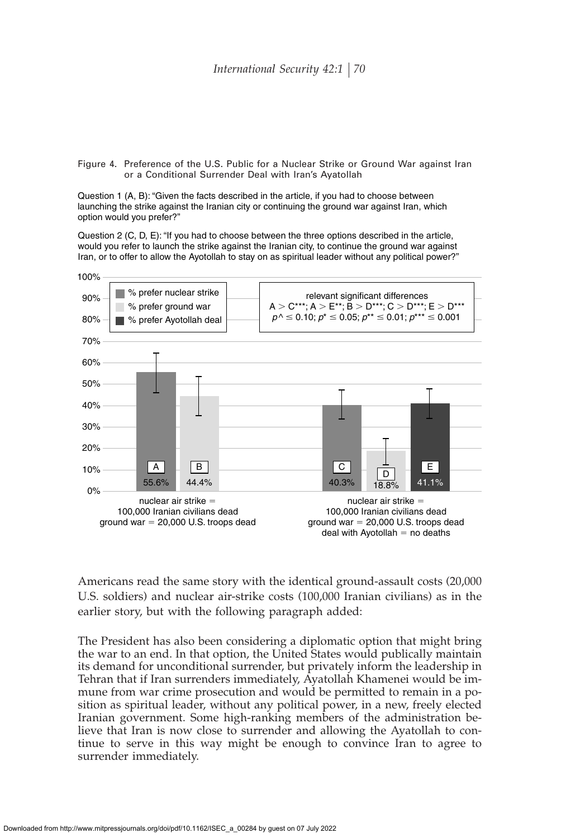Figure 4. Preference of the U.S. Public for a Nuclear Strike or Ground War against Iran or a Conditional Surrender Deal with Iran's Ayatollah

Question 1 (A, B): "Given the facts described in the article, if you had to choose between launching the strike against the Iranian city or continuing the ground war against Iran, which option would you prefer?"

Question 2 (C, D, E): "If you had to choose between the three options described in the article, would you refer to launch the strike against the Iranian city, to continue the ground war against Iran, or to offer to allow the Ayotollah to stay on as spiritual leader without any political power?"



Americans read the same story with the identical ground-assault costs (20,000 U.S. soldiers) and nuclear air-strike costs (100,000 Iranian civilians) as in the earlier story, but with the following paragraph added:

The President has also been considering a diplomatic option that might bring the war to an end. In that option, the United States would publically maintain its demand for unconditional surrender, but privately inform the leadership in Tehran that if Iran surrenders immediately, Ayatollah Khamenei would be immune from war crime prosecution and would be permitted to remain in a position as spiritual leader, without any political power, in a new, freely elected Iranian government. Some high-ranking members of the administration believe that Iran is now close to surrender and allowing the Ayatollah to continue to serve in this way might be enough to convince Iran to agree to surrender immediately.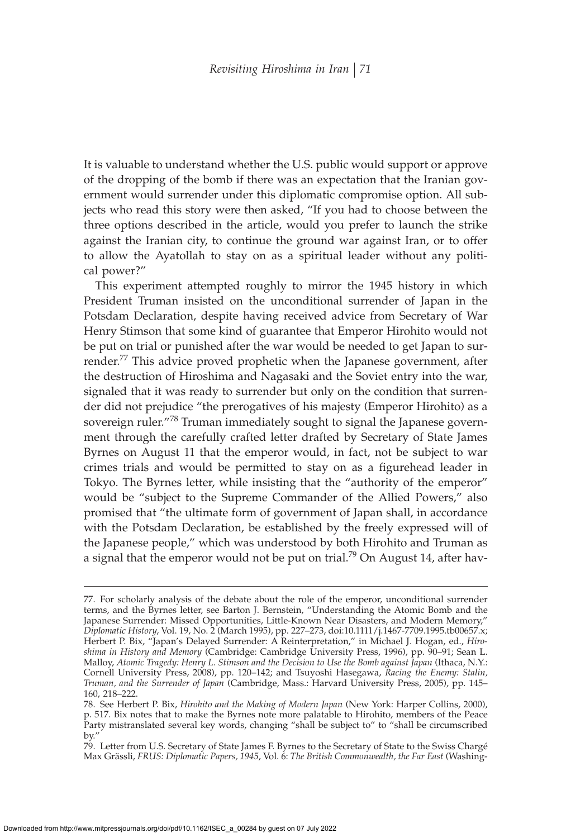It is valuable to understand whether the U.S. public would support or approve of the dropping of the bomb if there was an expectation that the Iranian government would surrender under this diplomatic compromise option. All subjects who read this story were then asked, "If you had to choose between the three options described in the article, would you prefer to launch the strike against the Iranian city, to continue the ground war against Iran, or to offer to allow the Ayatollah to stay on as a spiritual leader without any political power?"

This experiment attempted roughly to mirror the 1945 history in which President Truman insisted on the unconditional surrender of Japan in the Potsdam Declaration, despite having received advice from Secretary of War Henry Stimson that some kind of guarantee that Emperor Hirohito would not be put on trial or punished after the war would be needed to get Japan to surrender.<sup>77</sup> This advice proved prophetic when the Japanese government, after the destruction of Hiroshima and Nagasaki and the Soviet entry into the war, signaled that it was ready to surrender but only on the condition that surrender did not prejudice "the prerogatives of his majesty (Emperor Hirohito) as a sovereign ruler."<sup>78</sup> Truman immediately sought to signal the Japanese government through the carefully crafted letter drafted by Secretary of State James Byrnes on August 11 that the emperor would, in fact, not be subject to war crimes trials and would be permitted to stay on as a figurehead leader in Tokyo. The Byrnes letter, while insisting that the "authority of the emperor" would be "subject to the Supreme Commander of the Allied Powers," also promised that "the ultimate form of government of Japan shall, in accordance with the Potsdam Declaration, be established by the freely expressed will of the Japanese people," which was understood by both Hirohito and Truman as a signal that the emperor would not be put on trial.<sup>79</sup> On August 14, after hav-

<sup>77.</sup> For scholarly analysis of the debate about the role of the emperor, unconditional surrender terms, and the Byrnes letter, see Barton J. Bernstein, "Understanding the Atomic Bomb and the Japanese Surrender: Missed Opportunities, Little-Known Near Disasters, and Modern Memory," *Diplomatic History*, Vol. 19, No. 2 (March 1995), pp. 227–273, doi:10.1111/j.1467-7709.1995.tb00657.x; Herbert P. Bix, "Japan's Delayed Surrender: A Reinterpretation," in Michael J. Hogan, ed., *Hiroshima in History and Memory* (Cambridge: Cambridge University Press, 1996), pp. 90–91; Sean L. Malloy, *Atomic Tragedy: Henry L. Stimson and the Decision to Use the Bomb against Japan* (Ithaca, N.Y.: Cornell University Press, 2008), pp. 120–142; and Tsuyoshi Hasegawa, *Racing the Enemy: Stalin, Truman, and the Surrender of Japan* (Cambridge, Mass.: Harvard University Press, 2005), pp. 145– 160, 218–222.

<sup>78.</sup> See Herbert P. Bix, *Hirohito and the Making of Modern Japan* (New York: Harper Collins, 2000), p. 517. Bix notes that to make the Byrnes note more palatable to Hirohito, members of the Peace Party mistranslated several key words, changing "shall be subject to" to "shall be circumscribed by."

<sup>79.</sup> Letter from U.S. Secretary of State James F. Byrnes to the Secretary of State to the Swiss Chargé Max Grässli, *FRUS: Diplomatic Papers, 1945*, Vol. 6: *The British Commonwealth, the Far East* (Washing-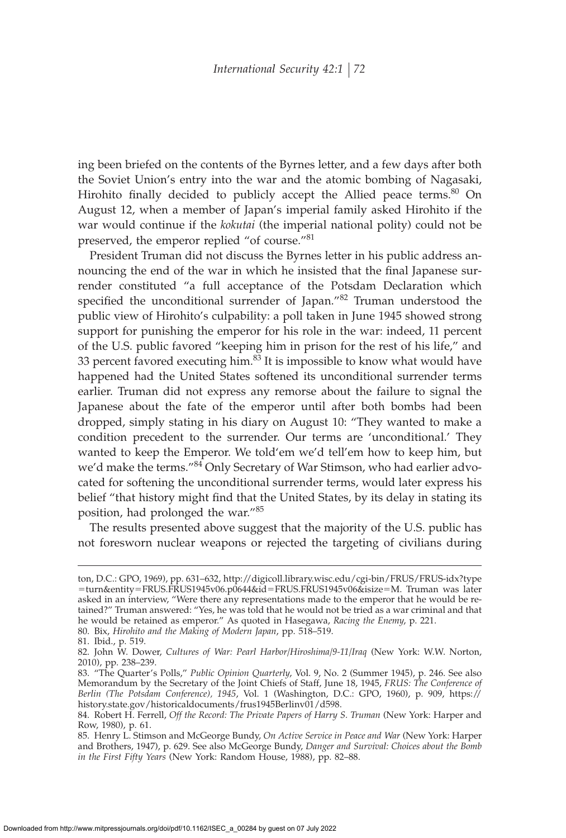ing been briefed on the contents of the Byrnes letter, and a few days after both the Soviet Union's entry into the war and the atomic bombing of Nagasaki, Hirohito finally decided to publicly accept the Allied peace terms. $80$  On August 12, when a member of Japan's imperial family asked Hirohito if the war would continue if the *kokutai* (the imperial national polity) could not be preserved, the emperor replied "of course."<sup>81</sup>

President Truman did not discuss the Byrnes letter in his public address announcing the end of the war in which he insisted that the final Japanese surrender constituted "a full acceptance of the Potsdam Declaration which specified the unconditional surrender of Japan."<sup>82</sup> Truman understood the public view of Hirohito's culpability: a poll taken in June 1945 showed strong support for punishing the emperor for his role in the war: indeed, 11 percent of the U.S. public favored "keeping him in prison for the rest of his life," and 33 percent favored executing him. $83$  It is impossible to know what would have happened had the United States softened its unconditional surrender terms earlier. Truman did not express any remorse about the failure to signal the Japanese about the fate of the emperor until after both bombs had been dropped, simply stating in his diary on August 10: "They wanted to make a condition precedent to the surrender. Our terms are 'unconditional.' They wanted to keep the Emperor. We told'em we'd tell'em how to keep him, but we'd make the terms."<sup>84</sup> Only Secretary of War Stimson, who had earlier advocated for softening the unconditional surrender terms, would later express his belief "that history might find that the United States, by its delay in stating its position, had prolonged the war."<sup>85</sup>

The results presented above suggest that the majority of the U.S. public has not foresworn nuclear weapons or rejected the targeting of civilians during

ton, D.C.: GPO, 1969), pp. 631–632, http://digicoll.library.wisc.edu/cgi-bin/FRUS/FRUS-idx?type -turn&entity-FRUS.FRUS1945v06.p0644&id-FRUS.FRUS1945v06&isize-M. Truman was later asked in an interview, "Were there any representations made to the emperor that he would be retained?" Truman answered: "Yes, he was told that he would not be tried as a war criminal and that he would be retained as emperor." As quoted in Hasegawa, *Racing the Enemy*, p. 221.

<sup>80.</sup> Bix, *Hirohito and the Making of Modern Japan*, pp. 518–519.

<sup>81.</sup> Ibid., p. 519.

<sup>82.</sup> John W. Dower, *Cultures of War: Pearl Harbor/Hiroshima/9-11/Iraq* (New York: W.W. Norton, 2010), pp. 238–239.

<sup>83. &</sup>quot;The Quarter's Polls," *Public Opinion Quarterly*, Vol. 9, No. 2 (Summer 1945), p. 246. See also Memorandum by the Secretary of the Joint Chiefs of Staff, June 18, 1945, *FRUS: The Conference of Berlin (The Potsdam Conference), 1945*, Vol. 1 (Washington, D.C.: GPO, 1960), p. 909, https:// history.state.gov/historicaldocuments/frus1945Berlinv01/d598.

<sup>84.</sup> Robert H. Ferrell, *Off the Record: The Private Papers of Harry S. Truman* (New York: Harper and Row, 1980), p. 61.

<sup>85.</sup> Henry L. Stimson and McGeorge Bundy, *On Active Service in Peace and War* (New York: Harper and Brothers, 1947), p. 629. See also McGeorge Bundy, *Danger and Survival: Choices about the Bomb in the First Fifty Years* (New York: Random House, 1988), pp. 82–88.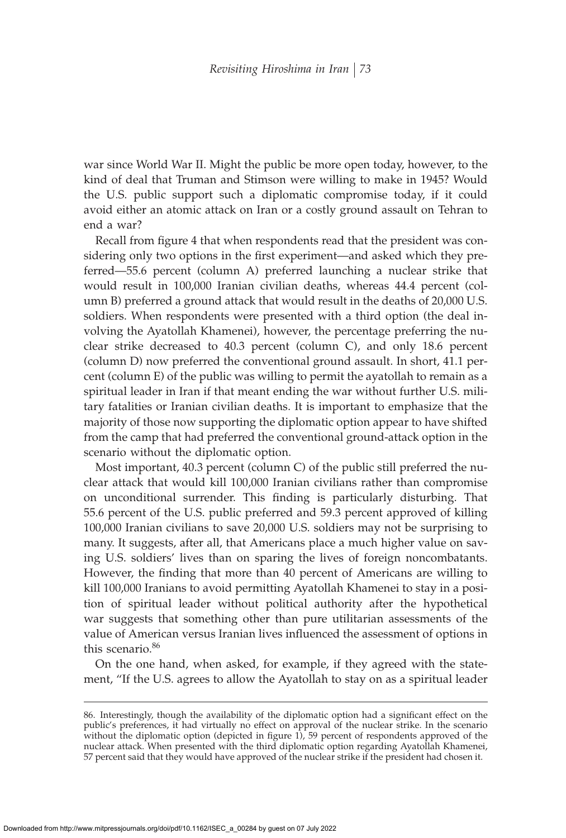war since World War II. Might the public be more open today, however, to the kind of deal that Truman and Stimson were willing to make in 1945? Would the U.S. public support such a diplomatic compromise today, if it could avoid either an atomic attack on Iran or a costly ground assault on Tehran to end a war?

Recall from figure 4 that when respondents read that the president was considering only two options in the first experiment—and asked which they preferred—55.6 percent (column A) preferred launching a nuclear strike that would result in 100,000 Iranian civilian deaths, whereas 44.4 percent (column B) preferred a ground attack that would result in the deaths of 20,000 U.S. soldiers. When respondents were presented with a third option (the deal involving the Ayatollah Khamenei), however, the percentage preferring the nuclear strike decreased to 40.3 percent (column C), and only 18.6 percent (column D) now preferred the conventional ground assault. In short, 41.1 percent (column E) of the public was willing to permit the ayatollah to remain as a spiritual leader in Iran if that meant ending the war without further U.S. military fatalities or Iranian civilian deaths. It is important to emphasize that the majority of those now supporting the diplomatic option appear to have shifted from the camp that had preferred the conventional ground-attack option in the scenario without the diplomatic option.

Most important, 40.3 percent (column C) of the public still preferred the nuclear attack that would kill 100,000 Iranian civilians rather than compromise on unconditional surrender. This finding is particularly disturbing. That 55.6 percent of the U.S. public preferred and 59.3 percent approved of killing 100,000 Iranian civilians to save 20,000 U.S. soldiers may not be surprising to many. It suggests, after all, that Americans place a much higher value on saving U.S. soldiers' lives than on sparing the lives of foreign noncombatants. However, the finding that more than 40 percent of Americans are willing to kill 100,000 Iranians to avoid permitting Ayatollah Khamenei to stay in a position of spiritual leader without political authority after the hypothetical war suggests that something other than pure utilitarian assessments of the value of American versus Iranian lives influenced the assessment of options in this scenario.<sup>86</sup>

On the one hand, when asked, for example, if they agreed with the statement, "If the U.S. agrees to allow the Ayatollah to stay on as a spiritual leader

<sup>86.</sup> Interestingly, though the availability of the diplomatic option had a significant effect on the public's preferences, it had virtually no effect on approval of the nuclear strike. In the scenario without the diplomatic option (depicted in figure 1), 59 percent of respondents approved of the nuclear attack. When presented with the third diplomatic option regarding Ayatollah Khamenei, 57 percent said that they would have approved of the nuclear strike if the president had chosen it.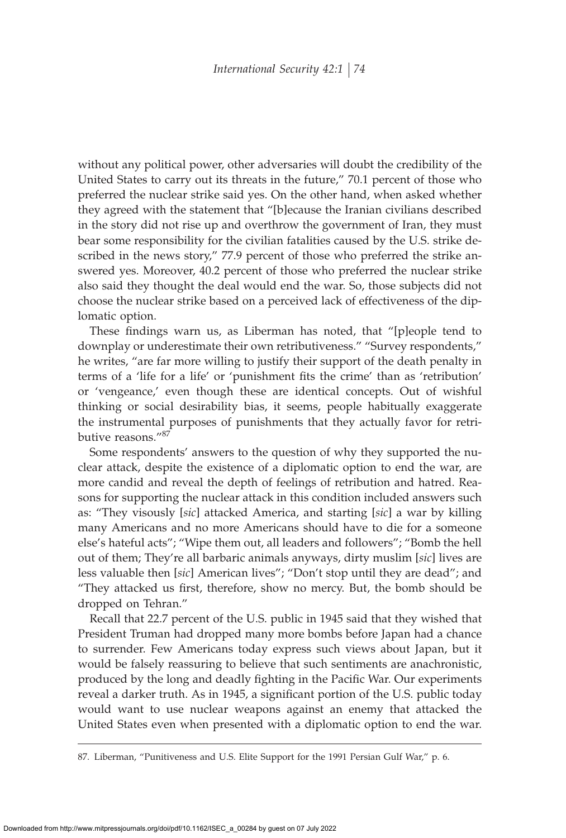without any political power, other adversaries will doubt the credibility of the United States to carry out its threats in the future," 70.1 percent of those who preferred the nuclear strike said yes. On the other hand, when asked whether they agreed with the statement that "[b]ecause the Iranian civilians described in the story did not rise up and overthrow the government of Iran, they must bear some responsibility for the civilian fatalities caused by the U.S. strike described in the news story," 77.9 percent of those who preferred the strike answered yes. Moreover, 40.2 percent of those who preferred the nuclear strike also said they thought the deal would end the war. So, those subjects did not choose the nuclear strike based on a perceived lack of effectiveness of the diplomatic option.

These findings warn us, as Liberman has noted, that "[p]eople tend to downplay or underestimate their own retributiveness." "Survey respondents," he writes, "are far more willing to justify their support of the death penalty in terms of a 'life for a life' or 'punishment fits the crime' than as 'retribution' or 'vengeance,' even though these are identical concepts. Out of wishful thinking or social desirability bias, it seems, people habitually exaggerate the instrumental purposes of punishments that they actually favor for retributive reasons."<sup>87</sup>

Some respondents' answers to the question of why they supported the nuclear attack, despite the existence of a diplomatic option to end the war, are more candid and reveal the depth of feelings of retribution and hatred. Reasons for supporting the nuclear attack in this condition included answers such as: "They visously [*sic*] attacked America, and starting [*sic*] a war by killing many Americans and no more Americans should have to die for a someone else's hateful acts"; "Wipe them out, all leaders and followers"; "Bomb the hell out of them; They're all barbaric animals anyways, dirty muslim [*sic*] lives are less valuable then [*sic*] American lives"; "Don't stop until they are dead"; and "They attacked us first, therefore, show no mercy. But, the bomb should be dropped on Tehran."

Recall that 22.7 percent of the U.S. public in 1945 said that they wished that President Truman had dropped many more bombs before Japan had a chance to surrender. Few Americans today express such views about Japan, but it would be falsely reassuring to believe that such sentiments are anachronistic, produced by the long and deadly fighting in the Pacific War. Our experiments reveal a darker truth. As in 1945, a significant portion of the U.S. public today would want to use nuclear weapons against an enemy that attacked the United States even when presented with a diplomatic option to end the war.

<sup>87.</sup> Liberman, "Punitiveness and U.S. Elite Support for the 1991 Persian Gulf War," p. 6.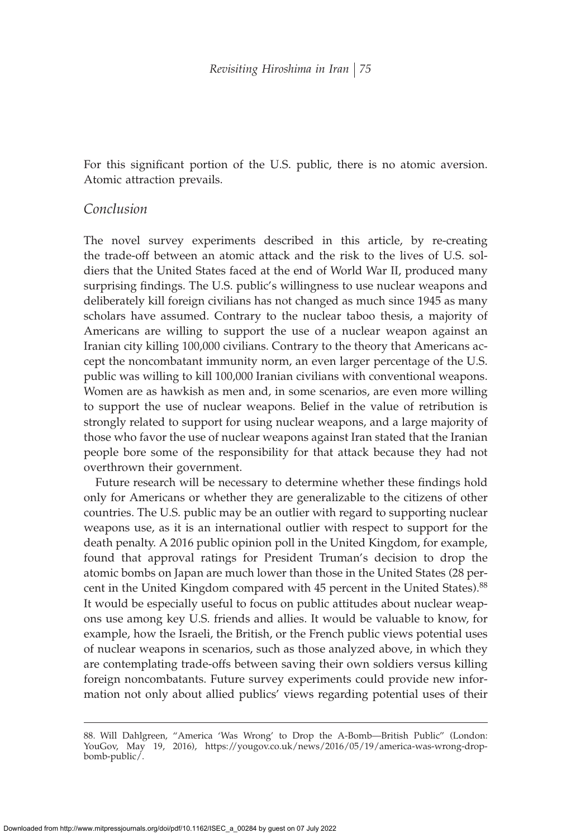For this significant portion of the U.S. public, there is no atomic aversion. Atomic attraction prevails.

# *Conclusion*

The novel survey experiments described in this article, by re-creating the trade-off between an atomic attack and the risk to the lives of U.S. soldiers that the United States faced at the end of World War II, produced many surprising findings. The U.S. public's willingness to use nuclear weapons and deliberately kill foreign civilians has not changed as much since 1945 as many scholars have assumed. Contrary to the nuclear taboo thesis, a majority of Americans are willing to support the use of a nuclear weapon against an Iranian city killing 100,000 civilians. Contrary to the theory that Americans accept the noncombatant immunity norm, an even larger percentage of the U.S. public was willing to kill 100,000 Iranian civilians with conventional weapons. Women are as hawkish as men and, in some scenarios, are even more willing to support the use of nuclear weapons. Belief in the value of retribution is strongly related to support for using nuclear weapons, and a large majority of those who favor the use of nuclear weapons against Iran stated that the Iranian people bore some of the responsibility for that attack because they had not overthrown their government.

Future research will be necessary to determine whether these findings hold only for Americans or whether they are generalizable to the citizens of other countries. The U.S. public may be an outlier with regard to supporting nuclear weapons use, as it is an international outlier with respect to support for the death penalty. A 2016 public opinion poll in the United Kingdom, for example, found that approval ratings for President Truman's decision to drop the atomic bombs on Japan are much lower than those in the United States (28 percent in the United Kingdom compared with 45 percent in the United States).<sup>88</sup> It would be especially useful to focus on public attitudes about nuclear weapons use among key U.S. friends and allies. It would be valuable to know, for example, how the Israeli, the British, or the French public views potential uses of nuclear weapons in scenarios, such as those analyzed above, in which they are contemplating trade-offs between saving their own soldiers versus killing foreign noncombatants. Future survey experiments could provide new information not only about allied publics' views regarding potential uses of their

<sup>88.</sup> Will Dahlgreen, "America 'Was Wrong' to Drop the A-Bomb—British Public" (London: YouGov, May 19, 2016), https://yougov.co.uk/news/2016/05/19/america-was-wrong-dropbomb-public/.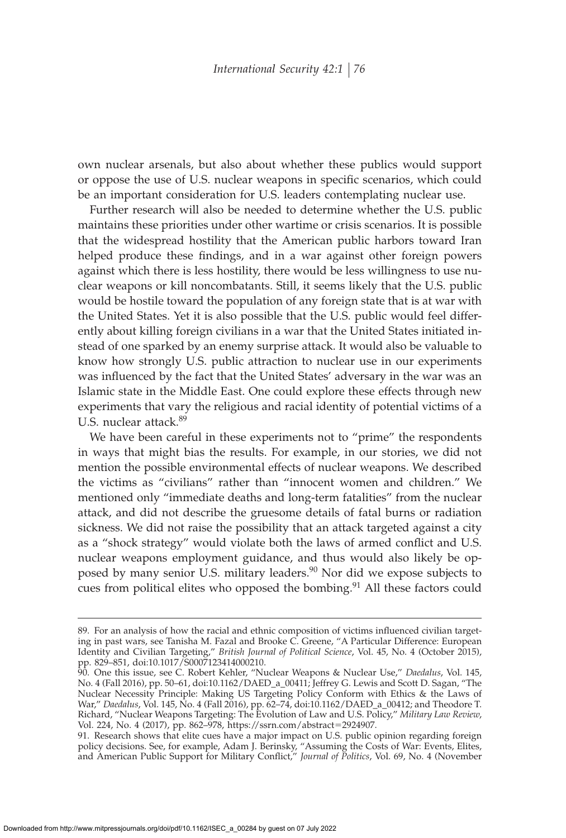own nuclear arsenals, but also about whether these publics would support or oppose the use of U.S. nuclear weapons in specific scenarios, which could be an important consideration for U.S. leaders contemplating nuclear use.

Further research will also be needed to determine whether the U.S. public maintains these priorities under other wartime or crisis scenarios. It is possible that the widespread hostility that the American public harbors toward Iran helped produce these findings, and in a war against other foreign powers against which there is less hostility, there would be less willingness to use nuclear weapons or kill noncombatants. Still, it seems likely that the U.S. public would be hostile toward the population of any foreign state that is at war with the United States. Yet it is also possible that the U.S. public would feel differently about killing foreign civilians in a war that the United States initiated instead of one sparked by an enemy surprise attack. It would also be valuable to know how strongly U.S. public attraction to nuclear use in our experiments was influenced by the fact that the United States' adversary in the war was an Islamic state in the Middle East. One could explore these effects through new experiments that vary the religious and racial identity of potential victims of a U.S. nuclear attack.<sup>89</sup>

We have been careful in these experiments not to "prime" the respondents in ways that might bias the results. For example, in our stories, we did not mention the possible environmental effects of nuclear weapons. We described the victims as "civilians" rather than "innocent women and children." We mentioned only "immediate deaths and long-term fatalities" from the nuclear attack, and did not describe the gruesome details of fatal burns or radiation sickness. We did not raise the possibility that an attack targeted against a city as a "shock strategy" would violate both the laws of armed conflict and U.S. nuclear weapons employment guidance, and thus would also likely be opposed by many senior U.S. military leaders.<sup>90</sup> Nor did we expose subjects to cues from political elites who opposed the bombing.<sup>91</sup> All these factors could

<sup>89.</sup> For an analysis of how the racial and ethnic composition of victims influenced civilian targeting in past wars, see Tanisha M. Fazal and Brooke C. Greene, "A Particular Difference: European Identity and Civilian Targeting," *British Journal of Political Science*, Vol. 45, No. 4 (October 2015), pp. 829–851, doi:10.1017/S0007123414000210.

<sup>90.</sup> One this issue, see C. Robert Kehler, "Nuclear Weapons & Nuclear Use," *Daedalus*, Vol. 145, No. 4 (Fall 2016), pp. 50–61, doi:10.1162/DAED\_a\_00411; Jeffrey G. Lewis and Scott D. Sagan, "The Nuclear Necessity Principle: Making US Targeting Policy Conform with Ethics & the Laws of War," *Daedalus*, Vol. 145, No. 4 (Fall 2016), pp. 62–74, doi:10.1162/DAED\_a\_00412; and Theodore T. Richard, "Nuclear Weapons Targeting: The Evolution of Law and U.S. Policy," *Military Law Review*, Vol. 224, No. 4 (2017), pp. 862–978, https://ssrn.com/abstract-2924907.

<sup>91.</sup> Research shows that elite cues have a major impact on U.S. public opinion regarding foreign policy decisions. See, for example, Adam J. Berinsky, "Assuming the Costs of War: Events, Elites, and American Public Support for Military Conflict," *Journal of Politics*, Vol. 69, No. 4 (November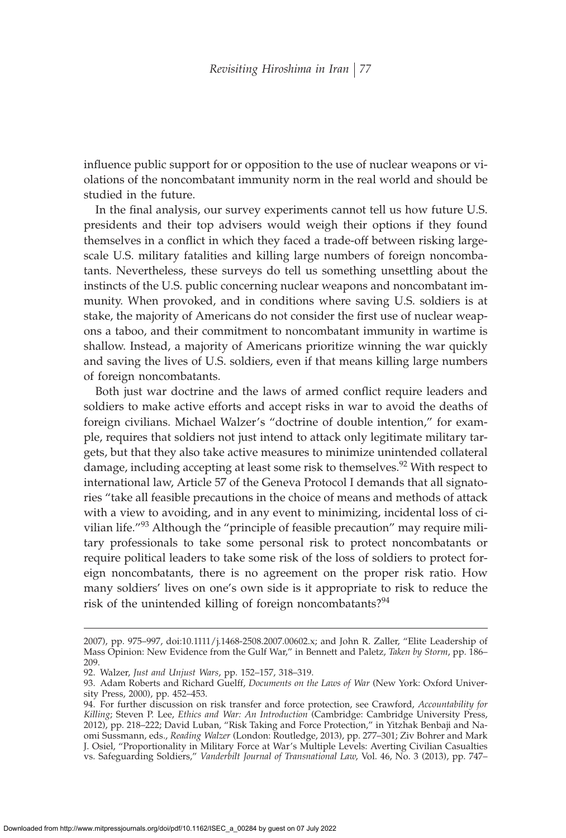influence public support for or opposition to the use of nuclear weapons or violations of the noncombatant immunity norm in the real world and should be studied in the future.

In the final analysis, our survey experiments cannot tell us how future U.S. presidents and their top advisers would weigh their options if they found themselves in a conflict in which they faced a trade-off between risking largescale U.S. military fatalities and killing large numbers of foreign noncombatants. Nevertheless, these surveys do tell us something unsettling about the instincts of the U.S. public concerning nuclear weapons and noncombatant immunity. When provoked, and in conditions where saving U.S. soldiers is at stake, the majority of Americans do not consider the first use of nuclear weapons a taboo, and their commitment to noncombatant immunity in wartime is shallow. Instead, a majority of Americans prioritize winning the war quickly and saving the lives of U.S. soldiers, even if that means killing large numbers of foreign noncombatants.

Both just war doctrine and the laws of armed conflict require leaders and soldiers to make active efforts and accept risks in war to avoid the deaths of foreign civilians. Michael Walzer's "doctrine of double intention," for example, requires that soldiers not just intend to attack only legitimate military targets, but that they also take active measures to minimize unintended collateral damage, including accepting at least some risk to themselves.<sup>92</sup> With respect to international law, Article 57 of the Geneva Protocol I demands that all signatories "take all feasible precautions in the choice of means and methods of attack with a view to avoiding, and in any event to minimizing, incidental loss of civilian life."<sup>93</sup> Although the "principle of feasible precaution" may require military professionals to take some personal risk to protect noncombatants or require political leaders to take some risk of the loss of soldiers to protect foreign noncombatants, there is no agreement on the proper risk ratio. How many soldiers' lives on one's own side is it appropriate to risk to reduce the risk of the unintended killing of foreign noncombatants?<sup>94</sup>

<sup>2007),</sup> pp. 975–997, doi:10.1111/j.1468-2508.2007.00602.x; and John R. Zaller, "Elite Leadership of Mass Opinion: New Evidence from the Gulf War," in Bennett and Paletz, *Taken by Storm*, pp. 186– 209.

<sup>92.</sup> Walzer, *Just and Unjust Wars*, pp. 152–157, 318–319.

<sup>93.</sup> Adam Roberts and Richard Guelff, *Documents on the Laws of War* (New York: Oxford University Press, 2000), pp. 452–453.

<sup>94.</sup> For further discussion on risk transfer and force protection, see Crawford, *Accountability for Killing*; Steven P. Lee, *Ethics and War: An Introduction* (Cambridge: Cambridge University Press, 2012), pp. 218–222; David Luban, "Risk Taking and Force Protection," in Yitzhak Benbaji and Naomi Sussmann, eds., *Reading Walzer* (London: Routledge, 2013), pp. 277–301; Ziv Bohrer and Mark J. Osiel, "Proportionality in Military Force at War's Multiple Levels: Averting Civilian Casualties vs. Safeguarding Soldiers," *Vanderbilt Journal of Transnational Law*, Vol. 46, No. 3 (2013), pp. 747–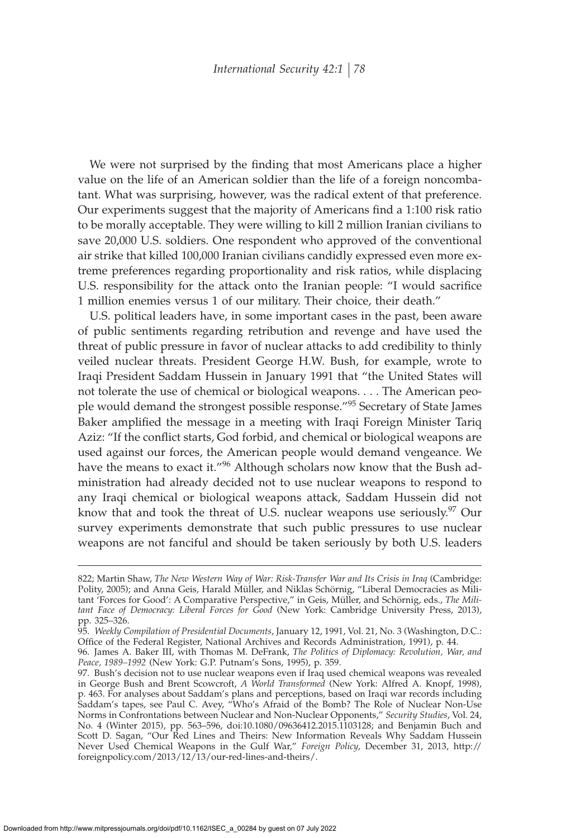We were not surprised by the finding that most Americans place a higher value on the life of an American soldier than the life of a foreign noncombatant. What was surprising, however, was the radical extent of that preference. Our experiments suggest that the majority of Americans find a 1:100 risk ratio to be morally acceptable. They were willing to kill 2 million Iranian civilians to save 20,000 U.S. soldiers. One respondent who approved of the conventional air strike that killed 100,000 Iranian civilians candidly expressed even more extreme preferences regarding proportionality and risk ratios, while displacing U.S. responsibility for the attack onto the Iranian people: "I would sacrifice 1 million enemies versus 1 of our military. Their choice, their death."

U.S. political leaders have, in some important cases in the past, been aware of public sentiments regarding retribution and revenge and have used the threat of public pressure in favor of nuclear attacks to add credibility to thinly veiled nuclear threats. President George H.W. Bush, for example, wrote to Iraqi President Saddam Hussein in January 1991 that "the United States will not tolerate the use of chemical or biological weapons. . . . The American people would demand the strongest possible response."<sup>95</sup> Secretary of State James Baker amplified the message in a meeting with Iraqi Foreign Minister Tariq Aziz: "If the conflict starts, God forbid, and chemical or biological weapons are used against our forces, the American people would demand vengeance. We have the means to exact it."<sup>96</sup> Although scholars now know that the Bush administration had already decided not to use nuclear weapons to respond to any Iraqi chemical or biological weapons attack, Saddam Hussein did not know that and took the threat of U.S. nuclear weapons use seriously.<sup>97</sup> Our survey experiments demonstrate that such public pressures to use nuclear weapons are not fanciful and should be taken seriously by both U.S. leaders

<sup>822;</sup> Martin Shaw, *The New Western Way of War: Risk-Transfer War and Its Crisis in Iraq* (Cambridge: Polity, 2005); and Anna Geis, Harald Müller, and Niklas Schörnig, "Liberal Democracies as Militant 'Forces for Good': A Comparative Perspective," in Geis, Müller, and Schörnig, eds., *The Militant Face of Democracy: Liberal Forces for Good* (New York: Cambridge University Press, 2013), pp. 325–326.

<sup>95.</sup> *Weekly Compilation of Presidential Documents*, January 12, 1991, Vol. 21, No. 3 (Washington, D.C.: Office of the Federal Register, National Archives and Records Administration, 1991), p. 44.

<sup>96.</sup> James A. Baker III, with Thomas M. DeFrank, *The Politics of Diplomacy: Revolution, War, and Peace, 1989–1992* (New York: G.P. Putnam's Sons, 1995), p. 359.

<sup>97.</sup> Bush's decision not to use nuclear weapons even if Iraq used chemical weapons was revealed in George Bush and Brent Scowcroft, *A World Transformed* (New York: Alfred A. Knopf, 1998), p. 463. For analyses about Saddam's plans and perceptions, based on Iraqi war records including Saddam's tapes, see Paul C. Avey, "Who's Afraid of the Bomb? The Role of Nuclear Non-Use Norms in Confrontations between Nuclear and Non-Nuclear Opponents," *Security Studies*, Vol. 24, No. 4 (Winter 2015), pp. 563–596, doi:10.1080/09636412.2015.1103128; and Benjamin Buch and Scott D. Sagan, "Our Red Lines and Theirs: New Information Reveals Why Saddam Hussein Never Used Chemical Weapons in the Gulf War," *Foreign Policy*, December 31, 2013, http:// foreignpolicy.com/2013/12/13/our-red-lines-and-theirs/.